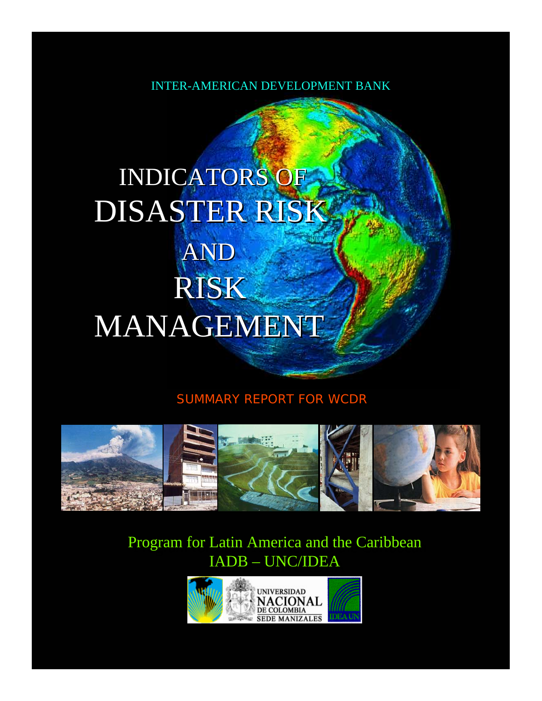INTER-AMERICAN DEVELOPMENT BANK

# INDICATORS OF DISASTER RISK AND RISK MANAGEMENT

## SUMMARY REPORT FOR WCDR



# Program for Latin America and the Caribbean Program for Latin America and the Caribbean IADB – UNC/IDEA IADB – UNC/IDEA

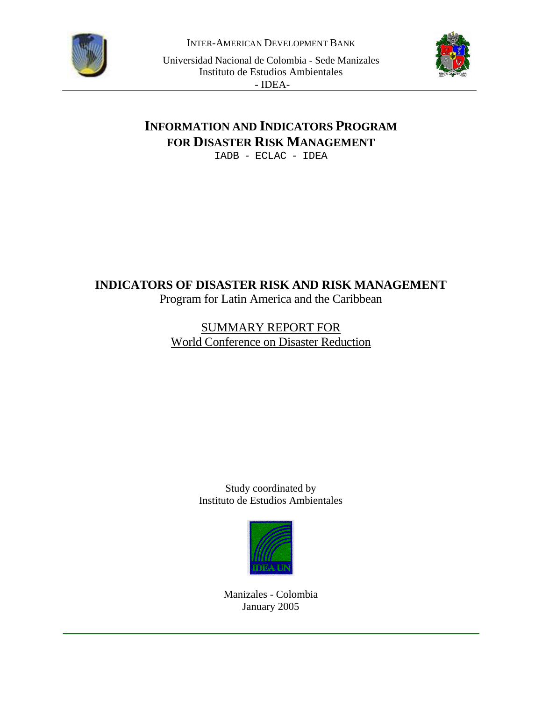

INTER-AMERICAN DEVELOPMENT BANK

Universidad Nacional de Colombia - Sede Manizales Instituto de Estudios Ambientales - IDEA-



## **INFORMATION AND INDICATORS PROGRAM FOR DISASTER RISK MANAGEMENT**

IADB - ECLAC - IDEA

## **INDICATORS OF DISASTER RISK AND RISK MANAGEMENT**  Program for Latin America and the Caribbean

## SUMMARY REPORT FOR World Conference on Disaster Reduction

Study coordinated by Instituto de Estudios Ambientales



Manizales - Colombia January 2005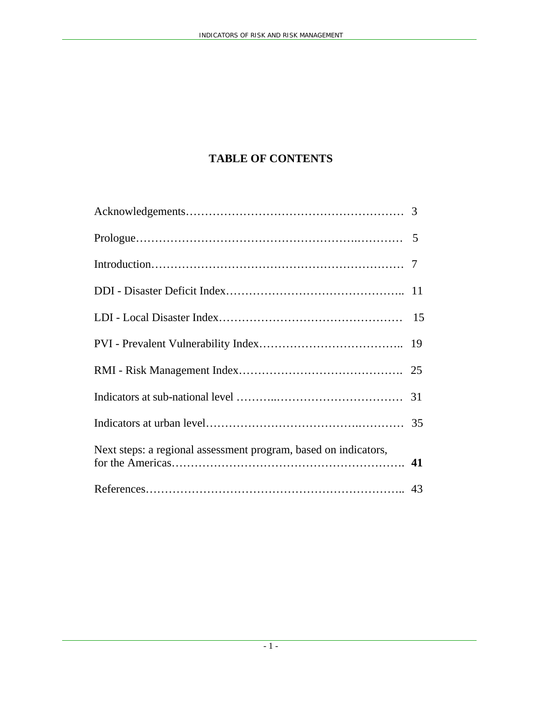## **TABLE OF CONTENTS**

| Next steps: a regional assessment program, based on indicators, |  |
|-----------------------------------------------------------------|--|
|                                                                 |  |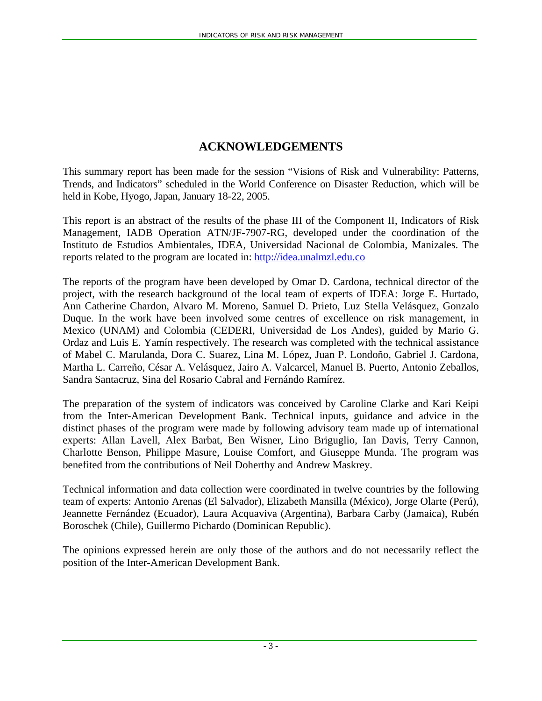## **ACKNOWLEDGEMENTS**

This summary report has been made for the session "Visions of Risk and Vulnerability: Patterns, Trends, and Indicators" scheduled in the World Conference on Disaster Reduction, which will be held in Kobe, Hyogo, Japan, January 18-22, 2005.

This report is an abstract of the results of the phase III of the Component II, Indicators of Risk Management, IADB Operation ATN/JF-7907-RG, developed under the coordination of the Instituto de Estudios Ambientales, IDEA, Universidad Nacional de Colombia, Manizales. The reports related to the program are located in: http://idea.unalmzl.edu.co

The reports of the program have been developed by Omar D. Cardona, technical director of the project, with the research background of the local team of experts of IDEA: Jorge E. Hurtado, Ann Catherine Chardon, Alvaro M. Moreno, Samuel D. Prieto, Luz Stella Velásquez, Gonzalo Duque. In the work have been involved some centres of excellence on risk management, in Mexico (UNAM) and Colombia (CEDERI, Universidad de Los Andes), guided by Mario G. Ordaz and Luis E. Yamín respectively. The research was completed with the technical assistance of Mabel C. Marulanda, Dora C. Suarez, Lina M. López, Juan P. Londoño, Gabriel J. Cardona, Martha L. Carreño, César A. Velásquez, Jairo A. Valcarcel, Manuel B. Puerto, Antonio Zeballos, Sandra Santacruz, Sina del Rosario Cabral and Fernándo Ramírez.

The preparation of the system of indicators was conceived by Caroline Clarke and Kari Keipi from the Inter-American Development Bank. Technical inputs, guidance and advice in the distinct phases of the program were made by following advisory team made up of international experts: Allan Lavell, Alex Barbat, Ben Wisner, Lino Briguglio, Ian Davis, Terry Cannon, Charlotte Benson, Philippe Masure, Louise Comfort, and Giuseppe Munda. The program was benefited from the contributions of Neil Doherthy and Andrew Maskrey.

Technical information and data collection were coordinated in twelve countries by the following team of experts: Antonio Arenas (El Salvador), Elizabeth Mansilla (México), Jorge Olarte (Perú), Jeannette Fernández (Ecuador), Laura Acquaviva (Argentina), Barbara Carby (Jamaica), Rubén Boroschek (Chile), Guillermo Pichardo (Dominican Republic).

The opinions expressed herein are only those of the authors and do not necessarily reflect the position of the Inter-American Development Bank.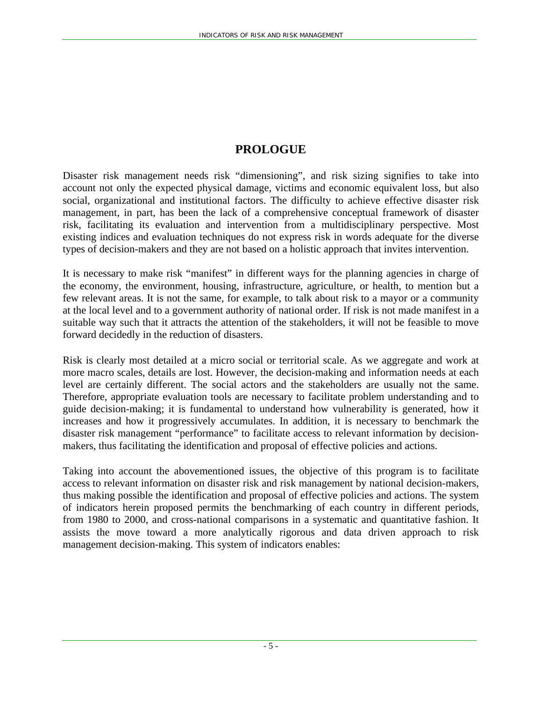## **PROLOGUE**

Disaster risk management needs risk "dimensioning", and risk sizing signifies to take into account not only the expected physical damage, victims and economic equivalent loss, but also social, organizational and institutional factors. The difficulty to achieve effective disaster risk management, in part, has been the lack of a comprehensive conceptual framework of disaster risk, facilitating its evaluation and intervention from a multidisciplinary perspective. Most existing indices and evaluation techniques do not express risk in words adequate for the diverse types of decision-makers and they are not based on a holistic approach that invites intervention.

It is necessary to make risk "manifest" in different ways for the planning agencies in charge of the economy, the environment, housing, infrastructure, agriculture, or health, to mention but a few relevant areas. It is not the same, for example, to talk about risk to a mayor or a community at the local level and to a government authority of national order. If risk is not made manifest in a suitable way such that it attracts the attention of the stakeholders, it will not be feasible to move forward decidedly in the reduction of disasters.

Risk is clearly most detailed at a micro social or territorial scale. As we aggregate and work at more macro scales, details are lost. However, the decision-making and information needs at each level are certainly different. The social actors and the stakeholders are usually not the same. Therefore, appropriate evaluation tools are necessary to facilitate problem understanding and to guide decision-making; it is fundamental to understand how vulnerability is generated, how it increases and how it progressively accumulates. In addition, it is necessary to benchmark the disaster risk management "performance" to facilitate access to relevant information by decisionmakers, thus facilitating the identification and proposal of effective policies and actions.

Taking into account the abovementioned issues, the objective of this program is to facilitate access to relevant information on disaster risk and risk management by national decision-makers, thus making possible the identification and proposal of effective policies and actions. The system of indicators herein proposed permits the benchmarking of each country in different periods, from 1980 to 2000, and cross-national comparisons in a systematic and quantitative fashion. It assists the move toward a more analytically rigorous and data driven approach to risk management decision-making. This system of indicators enables: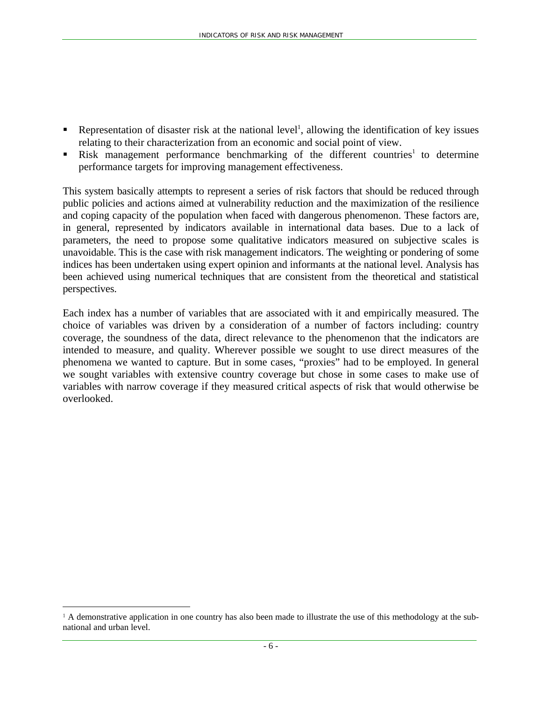- Representation of disaster risk at the national level<sup>1</sup>, allowing the identification of key issues relating to their characterization from an economic and social point of view.
- Risk management performance benchmarking of the different countries<sup>1</sup> to determine performance targets for improving management effectiveness.

This system basically attempts to represent a series of risk factors that should be reduced through public policies and actions aimed at vulnerability reduction and the maximization of the resilience and coping capacity of the population when faced with dangerous phenomenon. These factors are, in general, represented by indicators available in international data bases. Due to a lack of parameters, the need to propose some qualitative indicators measured on subjective scales is unavoidable. This is the case with risk management indicators. The weighting or pondering of some indices has been undertaken using expert opinion and informants at the national level. Analysis has been achieved using numerical techniques that are consistent from the theoretical and statistical perspectives.

Each index has a number of variables that are associated with it and empirically measured. The choice of variables was driven by a consideration of a number of factors including: country coverage, the soundness of the data, direct relevance to the phenomenon that the indicators are intended to measure, and quality. Wherever possible we sought to use direct measures of the phenomena we wanted to capture. But in some cases, "proxies" had to be employed. In general we sought variables with extensive country coverage but chose in some cases to make use of variables with narrow coverage if they measured critical aspects of risk that would otherwise be overlooked.

 $\overline{a}$ 

<sup>&</sup>lt;sup>1</sup> A demonstrative application in one country has also been made to illustrate the use of this methodology at the subnational and urban level.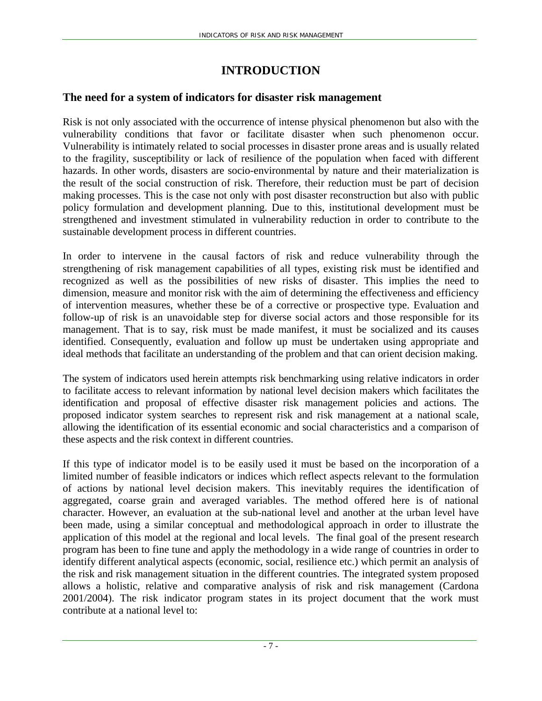## **INTRODUCTION**

#### **The need for a system of indicators for disaster risk management**

Risk is not only associated with the occurrence of intense physical phenomenon but also with the vulnerability conditions that favor or facilitate disaster when such phenomenon occur. Vulnerability is intimately related to social processes in disaster prone areas and is usually related to the fragility, susceptibility or lack of resilience of the population when faced with different hazards. In other words, disasters are socio-environmental by nature and their materialization is the result of the social construction of risk. Therefore, their reduction must be part of decision making processes. This is the case not only with post disaster reconstruction but also with public policy formulation and development planning. Due to this, institutional development must be strengthened and investment stimulated in vulnerability reduction in order to contribute to the sustainable development process in different countries.

In order to intervene in the causal factors of risk and reduce vulnerability through the strengthening of risk management capabilities of all types, existing risk must be identified and recognized as well as the possibilities of new risks of disaster. This implies the need to dimension, measure and monitor risk with the aim of determining the effectiveness and efficiency of intervention measures, whether these be of a corrective or prospective type. Evaluation and follow-up of risk is an unavoidable step for diverse social actors and those responsible for its management. That is to say, risk must be made manifest, it must be socialized and its causes identified. Consequently, evaluation and follow up must be undertaken using appropriate and ideal methods that facilitate an understanding of the problem and that can orient decision making.

The system of indicators used herein attempts risk benchmarking using relative indicators in order to facilitate access to relevant information by national level decision makers which facilitates the identification and proposal of effective disaster risk management policies and actions. The proposed indicator system searches to represent risk and risk management at a national scale, allowing the identification of its essential economic and social characteristics and a comparison of these aspects and the risk context in different countries.

If this type of indicator model is to be easily used it must be based on the incorporation of a limited number of feasible indicators or indices which reflect aspects relevant to the formulation of actions by national level decision makers. This inevitably requires the identification of aggregated, coarse grain and averaged variables. The method offered here is of national character. However, an evaluation at the sub-national level and another at the urban level have been made, using a similar conceptual and methodological approach in order to illustrate the application of this model at the regional and local levels. The final goal of the present research program has been to fine tune and apply the methodology in a wide range of countries in order to identify different analytical aspects (economic, social, resilience etc.) which permit an analysis of the risk and risk management situation in the different countries. The integrated system proposed allows a holistic, relative and comparative analysis of risk and risk management (Cardona 2001/2004). The risk indicator program states in its project document that the work must contribute at a national level to: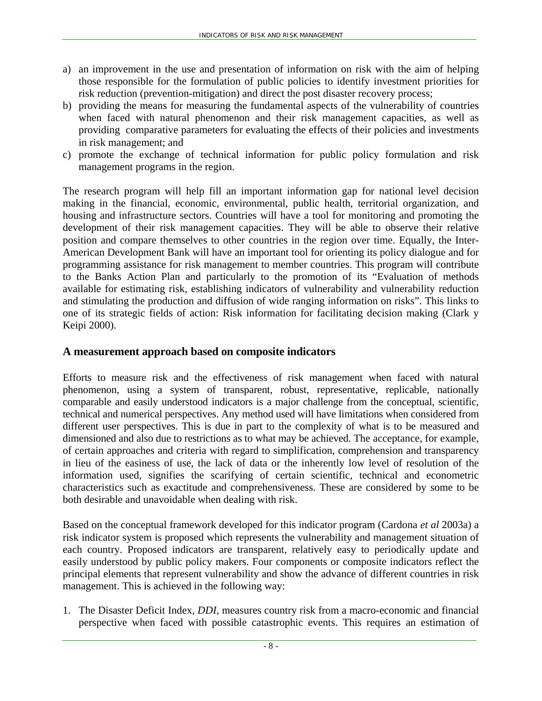- a) an improvement in the use and presentation of information on risk with the aim of helping those responsible for the formulation of public policies to identify investment priorities for risk reduction (prevention-mitigation) and direct the post disaster recovery process;
- b) providing the means for measuring the fundamental aspects of the vulnerability of countries when faced with natural phenomenon and their risk management capacities, as well as providing comparative parameters for evaluating the effects of their policies and investments in risk management; and
- c) promote the exchange of technical information for public policy formulation and risk management programs in the region.

The research program will help fill an important information gap for national level decision making in the financial, economic, environmental, public health, territorial organization, and housing and infrastructure sectors. Countries will have a tool for monitoring and promoting the development of their risk management capacities. They will be able to observe their relative position and compare themselves to other countries in the region over time. Equally, the Inter-American Development Bank will have an important tool for orienting its policy dialogue and for programming assistance for risk management to member countries. This program will contribute to the Banks Action Plan and particularly to the promotion of its "Evaluation of methods available for estimating risk, establishing indicators of vulnerability and vulnerability reduction and stimulating the production and diffusion of wide ranging information on risks". This links to one of its strategic fields of action: Risk information for facilitating decision making (Clark y Keipi 2000).

## **A measurement approach based on composite indicators**

Efforts to measure risk and the effectiveness of risk management when faced with natural phenomenon, using a system of transparent, robust, representative, replicable, nationally comparable and easily understood indicators is a major challenge from the conceptual, scientific, technical and numerical perspectives. Any method used will have limitations when considered from different user perspectives. This is due in part to the complexity of what is to be measured and dimensioned and also due to restrictions as to what may be achieved. The acceptance, for example, of certain approaches and criteria with regard to simplification, comprehension and transparency in lieu of the easiness of use, the lack of data or the inherently low level of resolution of the information used, signifies the scarifying of certain scientific, technical and econometric characteristics such as exactitude and comprehensiveness. These are considered by some to be both desirable and unavoidable when dealing with risk.

Based on the conceptual framework developed for this indicator program (Cardona *et al* 2003a) a risk indicator system is proposed which represents the vulnerability and management situation of each country. Proposed indicators are transparent, relatively easy to periodically update and easily understood by public policy makers. Four components or composite indicators reflect the principal elements that represent vulnerability and show the advance of different countries in risk management. This is achieved in the following way:

1. The Disaster Deficit Index, *DDI,* measures country risk from a macro-economic and financial perspective when faced with possible catastrophic events. This requires an estimation of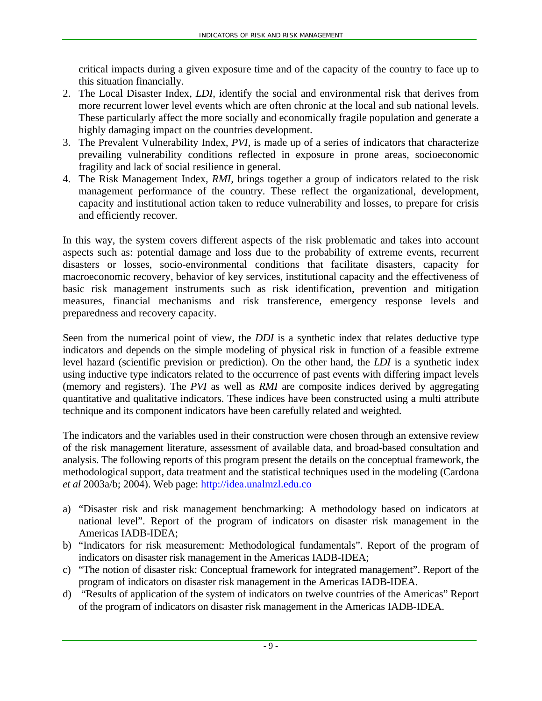critical impacts during a given exposure time and of the capacity of the country to face up to this situation financially.

- 2. The Local Disaster Index, *LDI,* identify the social and environmental risk that derives from more recurrent lower level events which are often chronic at the local and sub national levels. These particularly affect the more socially and economically fragile population and generate a highly damaging impact on the countries development.
- 3. The Prevalent Vulnerability Index, *PVI,* is made up of a series of indicators that characterize prevailing vulnerability conditions reflected in exposure in prone areas, socioeconomic fragility and lack of social resilience in general*.*
- 4. The Risk Management Index, *RMI,* brings together a group of indicators related to the risk management performance of the country. These reflect the organizational, development, capacity and institutional action taken to reduce vulnerability and losses, to prepare for crisis and efficiently recover.

In this way, the system covers different aspects of the risk problematic and takes into account aspects such as: potential damage and loss due to the probability of extreme events, recurrent disasters or losses, socio-environmental conditions that facilitate disasters, capacity for macroeconomic recovery, behavior of key services, institutional capacity and the effectiveness of basic risk management instruments such as risk identification, prevention and mitigation measures, financial mechanisms and risk transference, emergency response levels and preparedness and recovery capacity.

Seen from the numerical point of view, the *DDI* is a synthetic index that relates deductive type indicators and depends on the simple modeling of physical risk in function of a feasible extreme level hazard (scientific prevision or prediction). On the other hand, the *LDI* is a synthetic index using inductive type indicators related to the occurrence of past events with differing impact levels (memory and registers). The *PVI* as well as *RMI* are composite indices derived by aggregating quantitative and qualitative indicators. These indices have been constructed using a multi attribute technique and its component indicators have been carefully related and weighted.

The indicators and the variables used in their construction were chosen through an extensive review of the risk management literature, assessment of available data, and broad-based consultation and analysis. The following reports of this program present the details on the conceptual framework, the methodological support, data treatment and the statistical techniques used in the modeling (Cardona *et al* 2003a/b; 2004). Web page: http://idea.unalmzl.edu.co

- a) "Disaster risk and risk management benchmarking: A methodology based on indicators at national level". Report of the program of indicators on disaster risk management in the Americas IADB-IDEA;
- b) "Indicators for risk measurement: Methodological fundamentals". Report of the program of indicators on disaster risk management in the Americas IADB-IDEA;
- c) "The notion of disaster risk: Conceptual framework for integrated management". Report of the program of indicators on disaster risk management in the Americas IADB-IDEA.
- d) "Results of application of the system of indicators on twelve countries of the Americas" Report of the program of indicators on disaster risk management in the Americas IADB-IDEA.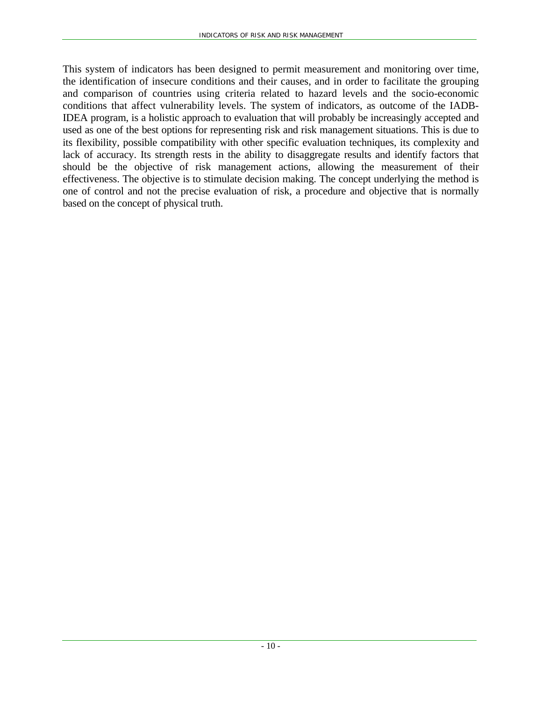This system of indicators has been designed to permit measurement and monitoring over time, the identification of insecure conditions and their causes, and in order to facilitate the grouping and comparison of countries using criteria related to hazard levels and the socio-economic conditions that affect vulnerability levels. The system of indicators, as outcome of the IADB-IDEA program, is a holistic approach to evaluation that will probably be increasingly accepted and used as one of the best options for representing risk and risk management situations. This is due to its flexibility, possible compatibility with other specific evaluation techniques, its complexity and lack of accuracy. Its strength rests in the ability to disaggregate results and identify factors that should be the objective of risk management actions, allowing the measurement of their effectiveness. The objective is to stimulate decision making. The concept underlying the method is one of control and not the precise evaluation of risk, a procedure and objective that is normally based on the concept of physical truth.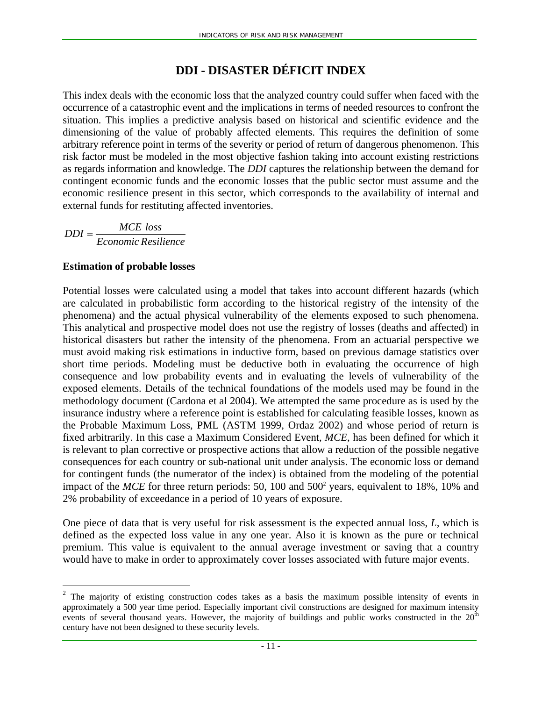## **DDI - DISASTER DÉFICIT INDEX**

This index deals with the economic loss that the analyzed country could suffer when faced with the occurrence of a catastrophic event and the implications in terms of needed resources to confront the situation. This implies a predictive analysis based on historical and scientific evidence and the dimensioning of the value of probably affected elements. This requires the definition of some arbitrary reference point in terms of the severity or period of return of dangerous phenomenon. This risk factor must be modeled in the most objective fashion taking into account existing restrictions as regards information and knowledge. The *DDI* captures the relationship between the demand for contingent economic funds and the economic losses that the public sector must assume and the economic resilience present in this sector, which corresponds to the availability of internal and external funds for restituting affected inventories.

*Economic Resilience*  $DDI = \frac{MCE \text{ loss}}{T}$ 

#### **Estimation of probable losses**

 $\overline{a}$ 

Potential losses were calculated using a model that takes into account different hazards (which are calculated in probabilistic form according to the historical registry of the intensity of the phenomena) and the actual physical vulnerability of the elements exposed to such phenomena. This analytical and prospective model does not use the registry of losses (deaths and affected) in historical disasters but rather the intensity of the phenomena. From an actuarial perspective we must avoid making risk estimations in inductive form, based on previous damage statistics over short time periods. Modeling must be deductive both in evaluating the occurrence of high consequence and low probability events and in evaluating the levels of vulnerability of the exposed elements. Details of the technical foundations of the models used may be found in the methodology document (Cardona et al 2004). We attempted the same procedure as is used by the insurance industry where a reference point is established for calculating feasible losses, known as the Probable Maximum Loss, PML (ASTM 1999, Ordaz 2002) and whose period of return is fixed arbitrarily. In this case a Maximum Considered Event, *MCE*, has been defined for which it is relevant to plan corrective or prospective actions that allow a reduction of the possible negative consequences for each country or sub-national unit under analysis. The economic loss or demand for contingent funds (the numerator of the index) is obtained from the modeling of the potential impact of the *MCE* for three return periods: 50, 100 and 500<sup>2</sup> years, equivalent to 18%, 10% and 2% probability of exceedance in a period of 10 years of exposure.

One piece of data that is very useful for risk assessment is the expected annual loss, *L,* which is defined as the expected loss value in any one year. Also it is known as the pure or technical premium. This value is equivalent to the annual average investment or saving that a country would have to make in order to approximately cover losses associated with future major events.

<sup>&</sup>lt;sup>2</sup> The majority of existing construction codes takes as a basis the maximum possible intensity of events in approximately a 500 year time period. Especially important civil constructions are designed for maximum intensity events of several thousand years. However, the majority of buildings and public works constructed in the 20<sup>th</sup> century have not been designed to these security levels.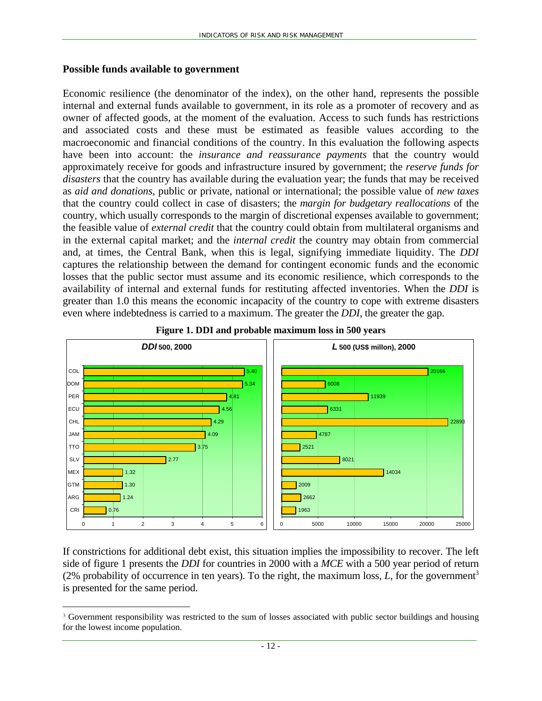#### **Possible funds available to government**

 $\overline{a}$ 

Economic resilience (the denominator of the index), on the other hand, represents the possible internal and external funds available to government, in its role as a promoter of recovery and as owner of affected goods, at the moment of the evaluation. Access to such funds has restrictions and associated costs and these must be estimated as feasible values according to the macroeconomic and financial conditions of the country. In this evaluation the following aspects have been into account: the *insurance and reassurance payments* that the country would approximately receive for goods and infrastructure insured by government; the *reserve funds for disasters* that the country has available during the evaluation year; the funds that may be received as *aid and donations*, public or private, national or international; the possible value of *new taxes* that the country could collect in case of disasters; the *margin for budgetary reallocations* of the country, which usually corresponds to the margin of discretional expenses available to government; the feasible value of *external credit* that the country could obtain from multilateral organisms and in the external capital market; and the *internal credit* the country may obtain from commercial and, at times, the Central Bank, when this is legal, signifying immediate liquidity. The *DDI*  captures the relationship between the demand for contingent economic funds and the economic losses that the public sector must assume and its economic resilience, which corresponds to the availability of internal and external funds for restituting affected inventories. When the *DDI* is greater than 1.0 this means the economic incapacity of the country to cope with extreme disasters even where indebtedness is carried to a maximum. The greater the *DDI*, the greater the gap.





If constrictions for additional debt exist, this situation implies the impossibility to recover. The left side of figure 1 presents the *DDI* for countries in 2000 with a *MCE* with a 500 year period of return (2% probability of occurrence in ten years). To the right, the maximum loss,  $L$ , for the government<sup>3</sup> is presented for the same period.

<sup>3</sup> Government responsibility was restricted to the sum of losses associated with public sector buildings and housing for the lowest income population.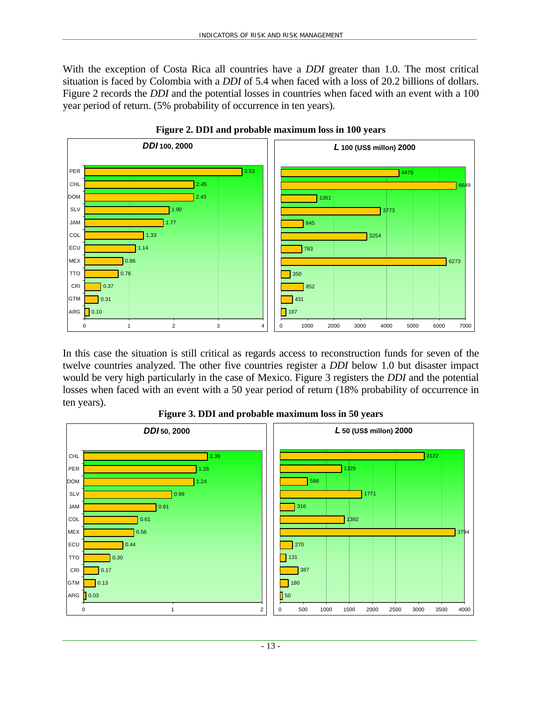With the exception of Costa Rica all countries have a *DDI* greater than 1.0. The most critical situation is faced by Colombia with a *DDI* of 5.4 when faced with a loss of 20.2 billions of dollars. Figure 2 records the *DDI* and the potential losses in countries when faced with an event with a 100 year period of return. (5% probability of occurrence in ten years).





In this case the situation is still critical as regards access to reconstruction funds for seven of the twelve countries analyzed. The other five countries register a *DDI* below 1.0 but disaster impact would be very high particularly in the case of Mexico. Figure 3 registers the *DDI* and the potential losses when faced with an event with a 50 year period of return (18% probability of occurrence in ten years).



**Figure 3. DDI and probable maximum loss in 50 years**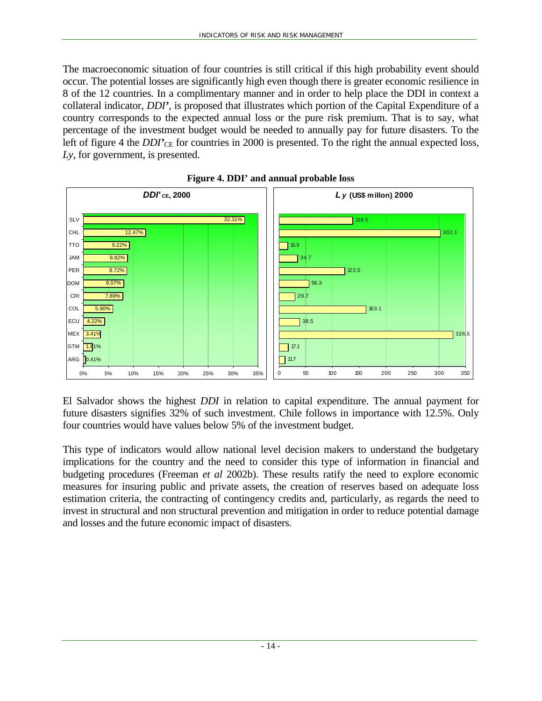The macroeconomic situation of four countries is still critical if this high probability event should occur. The potential losses are significantly high even though there is greater economic resilience in 8 of the 12 countries. In a complimentary manner and in order to help place the DDI in context a collateral indicator, *DDI'*, is proposed that illustrates which portion of the Capital Expenditure of a country corresponds to the expected annual loss or the pure risk premium. That is to say, what percentage of the investment budget would be needed to annually pay for future disasters. To the left of figure 4 the *DDI*<sup> $\prime$ </sup>CE for countries in 2000 is presented. To the right the annual expected loss, *Ly*, for government, is presented.





El Salvador shows the highest *DDI* in relation to capital expenditure. The annual payment for future disasters signifies 32% of such investment. Chile follows in importance with 12.5%. Only four countries would have values below 5% of the investment budget.

This type of indicators would allow national level decision makers to understand the budgetary implications for the country and the need to consider this type of information in financial and budgeting procedures (Freeman *et al* 2002b). These results ratify the need to explore economic measures for insuring public and private assets, the creation of reserves based on adequate loss estimation criteria, the contracting of contingency credits and, particularly, as regards the need to invest in structural and non structural prevention and mitigation in order to reduce potential damage and losses and the future economic impact of disasters.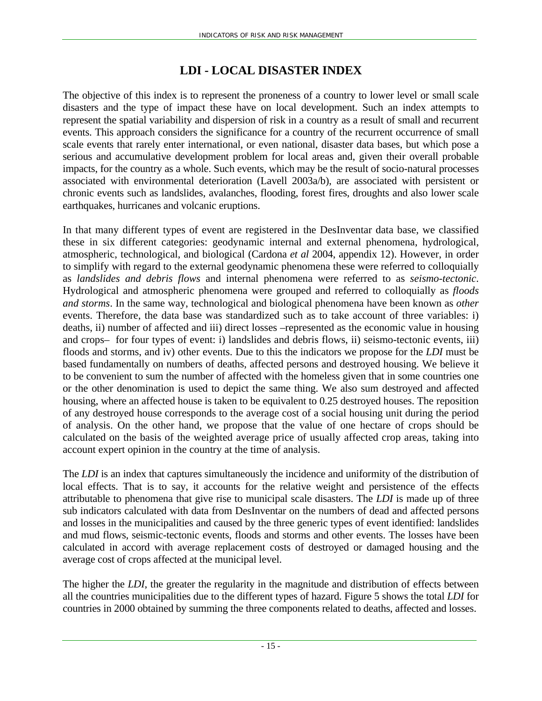## **LDI - LOCAL DISASTER INDEX**

The objective of this index is to represent the proneness of a country to lower level or small scale disasters and the type of impact these have on local development. Such an index attempts to represent the spatial variability and dispersion of risk in a country as a result of small and recurrent events. This approach considers the significance for a country of the recurrent occurrence of small scale events that rarely enter international, or even national, disaster data bases, but which pose a serious and accumulative development problem for local areas and, given their overall probable impacts, for the country as a whole. Such events, which may be the result of socio-natural processes associated with environmental deterioration (Lavell 2003a/b), are associated with persistent or chronic events such as landslides, avalanches, flooding, forest fires, droughts and also lower scale earthquakes, hurricanes and volcanic eruptions.

In that many different types of event are registered in the DesInventar data base, we classified these in six different categories: geodynamic internal and external phenomena, hydrological, atmospheric, technological, and biological (Cardona *et al* 2004, appendix 12). However, in order to simplify with regard to the external geodynamic phenomena these were referred to colloquially as *landslides and debris flows* and internal phenomena were referred to as *seismo-tectonic*. Hydrological and atmospheric phenomena were grouped and referred to colloquially as *floods and storms*. In the same way, technological and biological phenomena have been known as *other* events. Therefore, the data base was standardized such as to take account of three variables: i) deaths, ii) number of affected and iii) direct losses –represented as the economic value in housing and crops– for four types of event: i) landslides and debris flows, ii) seismo-tectonic events, iii) floods and storms, and iv) other events. Due to this the indicators we propose for the *LDI* must be based fundamentally on numbers of deaths, affected persons and destroyed housing. We believe it to be convenient to sum the number of affected with the homeless given that in some countries one or the other denomination is used to depict the same thing. We also sum destroyed and affected housing, where an affected house is taken to be equivalent to 0.25 destroyed houses. The reposition of any destroyed house corresponds to the average cost of a social housing unit during the period of analysis. On the other hand, we propose that the value of one hectare of crops should be calculated on the basis of the weighted average price of usually affected crop areas, taking into account expert opinion in the country at the time of analysis.

The *LDI* is an index that captures simultaneously the incidence and uniformity of the distribution of local effects. That is to say, it accounts for the relative weight and persistence of the effects attributable to phenomena that give rise to municipal scale disasters. The *LDI* is made up of three sub indicators calculated with data from DesInventar on the numbers of dead and affected persons and losses in the municipalities and caused by the three generic types of event identified: landslides and mud flows, seismic-tectonic events, floods and storms and other events. The losses have been calculated in accord with average replacement costs of destroyed or damaged housing and the average cost of crops affected at the municipal level.

The higher the *LDI*, the greater the regularity in the magnitude and distribution of effects between all the countries municipalities due to the different types of hazard. Figure 5 shows the total *LDI* for countries in 2000 obtained by summing the three components related to deaths, affected and losses.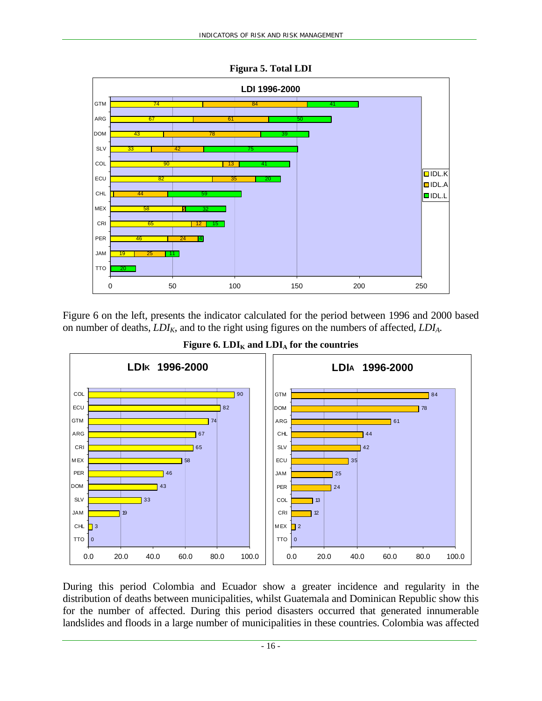

**Figura 5. Total LDI** 

Figure 6 on the left, presents the indicator calculated for the period between 1996 and 2000 based on number of deaths, *LDIK*, and to the right using figures on the numbers of affected, *LDIA.*



Figure 6. LDI<sub>K</sub> and LDI<sub>A</sub> for the countries

During this period Colombia and Ecuador show a greater incidence and regularity in the distribution of deaths between municipalities, whilst Guatemala and Dominican Republic show this for the number of affected. During this period disasters occurred that generated innumerable landslides and floods in a large number of municipalities in these countries. Colombia was affected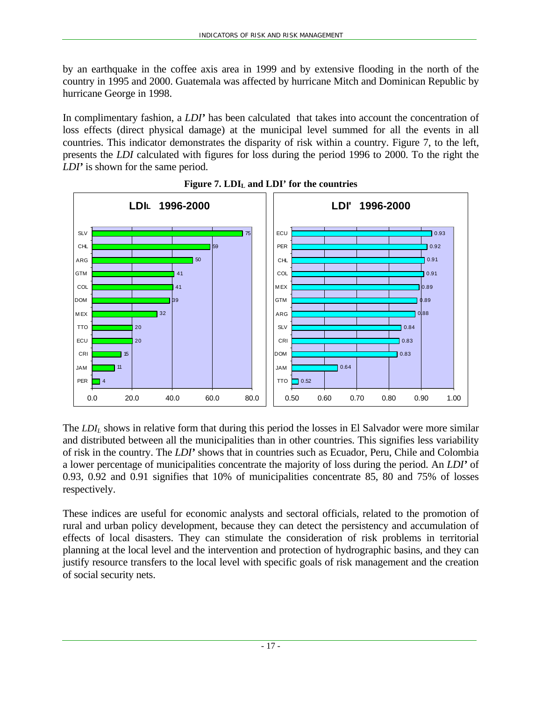by an earthquake in the coffee axis area in 1999 and by extensive flooding in the north of the country in 1995 and 2000. Guatemala was affected by hurricane Mitch and Dominican Republic by hurricane George in 1998.

In complimentary fashion, a *LDI'* has been calculated that takes into account the concentration of loss effects (direct physical damage) at the municipal level summed for all the events in all countries. This indicator demonstrates the disparity of risk within a country. Figure 7, to the left, presents the *LDI* calculated with figures for loss during the period 1996 to 2000. To the right the *LDI'* is shown for the same period.



Figure 7. LDI<sub>L</sub> and LDI' for the countries

The *LDI<sub>L</sub>* shows in relative form that during this period the losses in El Salvador were more similar and distributed between all the municipalities than in other countries. This signifies less variability of risk in the country. The *LDI'* shows that in countries such as Ecuador, Peru, Chile and Colombia a lower percentage of municipalities concentrate the majority of loss during the period. An *LDI'* of 0.93, 0.92 and 0.91 signifies that 10% of municipalities concentrate 85, 80 and 75% of losses respectively.

These indices are useful for economic analysts and sectoral officials, related to the promotion of rural and urban policy development, because they can detect the persistency and accumulation of effects of local disasters. They can stimulate the consideration of risk problems in territorial planning at the local level and the intervention and protection of hydrographic basins, and they can justify resource transfers to the local level with specific goals of risk management and the creation of social security nets.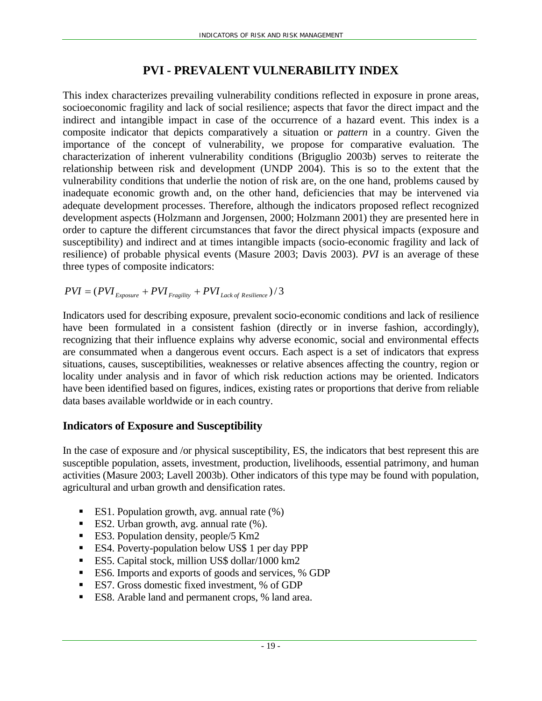## **PVI - PREVALENT VULNERABILITY INDEX**

This index characterizes prevailing vulnerability conditions reflected in exposure in prone areas, socioeconomic fragility and lack of social resilience; aspects that favor the direct impact and the indirect and intangible impact in case of the occurrence of a hazard event. This index is a composite indicator that depicts comparatively a situation or *pattern* in a country. Given the importance of the concept of vulnerability, we propose for comparative evaluation. The characterization of inherent vulnerability conditions (Briguglio 2003b) serves to reiterate the relationship between risk and development (UNDP 2004). This is so to the extent that the vulnerability conditions that underlie the notion of risk are, on the one hand, problems caused by inadequate economic growth and, on the other hand, deficiencies that may be intervened via adequate development processes. Therefore, although the indicators proposed reflect recognized development aspects (Holzmann and Jorgensen, 2000; Holzmann 2001) they are presented here in order to capture the different circumstances that favor the direct physical impacts (exposure and susceptibility) and indirect and at times intangible impacts (socio-economic fragility and lack of resilience) of probable physical events (Masure 2003; Davis 2003). *PVI* is an average of these three types of composite indicators:

$$
PVI = (PVI_{Exposure} + PVI_{Fragility} + PVI_{Lack of Resilience})/3
$$

Indicators used for describing exposure, prevalent socio-economic conditions and lack of resilience have been formulated in a consistent fashion (directly or in inverse fashion, accordingly), recognizing that their influence explains why adverse economic, social and environmental effects are consummated when a dangerous event occurs. Each aspect is a set of indicators that express situations, causes, susceptibilities, weaknesses or relative absences affecting the country, region or locality under analysis and in favor of which risk reduction actions may be oriented. Indicators have been identified based on figures, indices, existing rates or proportions that derive from reliable data bases available worldwide or in each country.

## **Indicators of Exposure and Susceptibility**

In the case of exposure and /or physical susceptibility, ES, the indicators that best represent this are susceptible population, assets, investment, production, livelihoods, essential patrimony, and human activities (Masure 2003; Lavell 2003b). Other indicators of this type may be found with population, agricultural and urban growth and densification rates.

- ES1. Population growth, avg. annual rate  $(\%)$
- ES2. Urban growth, avg. annual rate  $(% \mathcal{L}_{0})$ .
- ES3. Population density, people/5 Km<sup>2</sup>
- ES4. Poverty-population below US\$ 1 per day PPP
- ES5. Capital stock, million US\$ dollar/1000 km2
- ES6. Imports and exports of goods and services, % GDP
- ES7. Gross domestic fixed investment, % of GDP
- ES8. Arable land and permanent crops, % land area.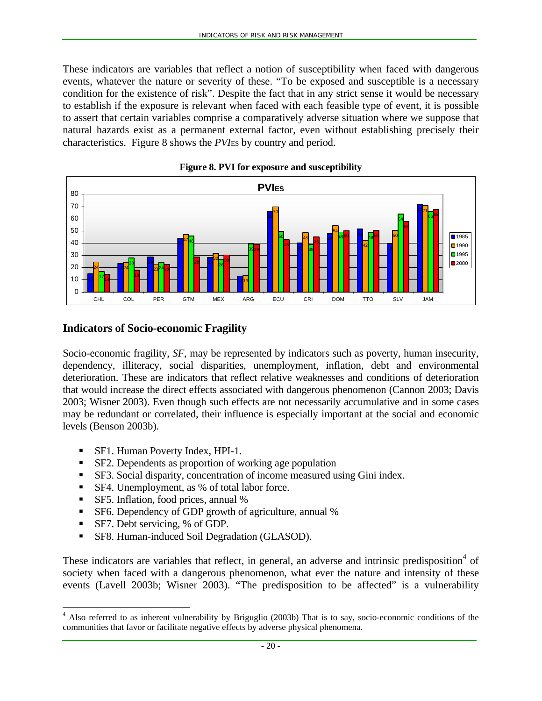These indicators are variables that reflect a notion of susceptibility when faced with dangerous events, whatever the nature or severity of these. "To be exposed and susceptible is a necessary condition for the existence of risk". Despite the fact that in any strict sense it would be necessary to establish if the exposure is relevant when faced with each feasible type of event, it is possible to assert that certain variables comprise a comparatively adverse situation where we suppose that natural hazards exist as a permanent external factor, even without establishing precisely their characteristics. Figure 8 shows the *PVI*ES by country and period.





## **Indicators of Socio-economic Fragility**

Socio-economic fragility, *SF*, may be represented by indicators such as poverty, human insecurity, dependency, illiteracy, social disparities, unemployment, inflation, debt and environmental deterioration. These are indicators that reflect relative weaknesses and conditions of deterioration that would increase the direct effects associated with dangerous phenomenon (Cannon 2003; Davis 2003; Wisner 2003). Even though such effects are not necessarily accumulative and in some cases may be redundant or correlated, their influence is especially important at the social and economic levels (Benson 2003b).

- SF1. Human Poverty Index, HPI-1.
- SF2. Dependents as proportion of working age population
- SF3. Social disparity, concentration of income measured using Gini index.
- SF4. Unemployment, as % of total labor force.
- SF5. Inflation, food prices, annual %
- **SF6.** Dependency of GDP growth of agriculture, annual %
- SF7. Debt servicing, % of GDP.

 $\overline{a}$ 

SF8. Human-induced Soil Degradation (GLASOD).

These indicators are variables that reflect, in general, an adverse and intrinsic predisposition<sup>4</sup> of society when faced with a dangerous phenomenon, what ever the nature and intensity of these events (Lavell 2003b; Wisner 2003). "The predisposition to be affected" is a vulnerability

<sup>&</sup>lt;sup>4</sup> Also referred to as inherent vulnerability by Briguglio (2003b) That is to say, socio-economic conditions of the communities that favor or facilitate negative effects by adverse physical phenomena.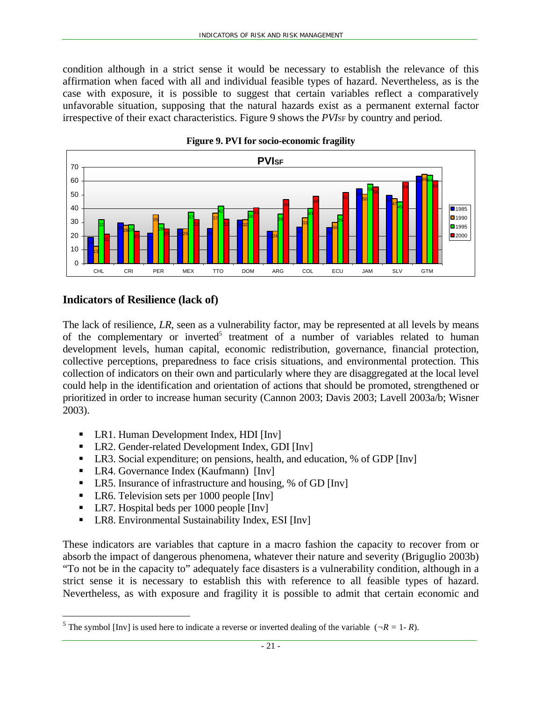condition although in a strict sense it would be necessary to establish the relevance of this affirmation when faced with all and individual feasible types of hazard. Nevertheless, as is the case with exposure, it is possible to suggest that certain variables reflect a comparatively unfavorable situation, supposing that the natural hazards exist as a permanent external factor irrespective of their exact characteristics. Figure 9 shows the *PVI*SF by country and period.





## **Indicators of Resilience (lack of)**

The lack of resilience, *LR*, seen as a vulnerability factor, may be represented at all levels by means of the complementary or inverted<sup>5</sup> treatment of a number of variables related to human development levels, human capital, economic redistribution, governance, financial protection, collective perceptions, preparedness to face crisis situations, and environmental protection. This collection of indicators on their own and particularly where they are disaggregated at the local level could help in the identification and orientation of actions that should be promoted, strengthened or prioritized in order to increase human security (Cannon 2003; Davis 2003; Lavell 2003a/b; Wisner 2003).

- LR1. Human Development Index, HDI [Inv]
- LR2. Gender-related Development Index, GDI [Inv]
- LR3. Social expenditure; on pensions, health, and education, % of GDP [Inv]
- LR4. Governance Index (Kaufmann) [Inv]
- LR5. Insurance of infrastructure and housing, % of GD [Inv]
- LR6. Television sets per 1000 people [Inv]
- LR7. Hospital beds per 1000 people [Inv]

 $\overline{a}$ 

**-** LR8. Environmental Sustainability Index, ESI [Inv]

These indicators are variables that capture in a macro fashion the capacity to recover from or absorb the impact of dangerous phenomena, whatever their nature and severity (Briguglio 2003b) "To not be in the capacity to" adequately face disasters is a vulnerability condition, although in a strict sense it is necessary to establish this with reference to all feasible types of hazard. Nevertheless, as with exposure and fragility it is possible to admit that certain economic and

<sup>&</sup>lt;sup>5</sup> The symbol [Inv] is used here to indicate a reverse or inverted dealing of the variable ( $\neg R = 1 - R$ ).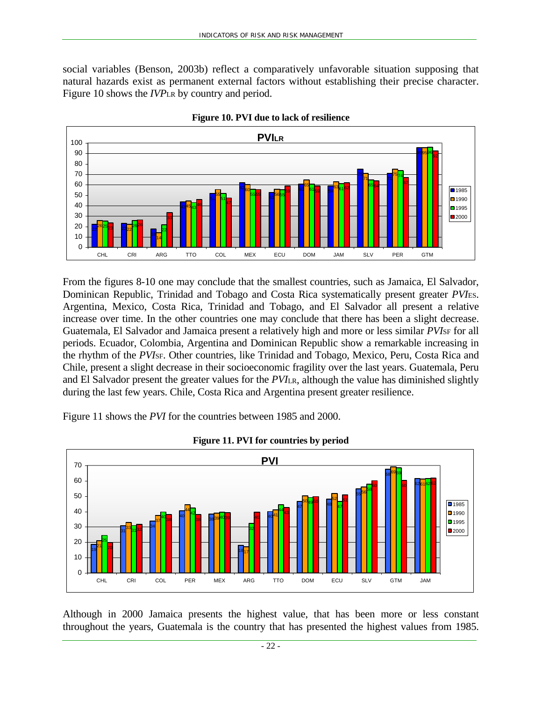social variables (Benson, 2003b) reflect a comparatively unfavorable situation supposing that natural hazards exist as permanent external factors without establishing their precise character. Figure 10 shows the *IVP*LR by country and period.





From the figures 8-10 one may conclude that the smallest countries, such as Jamaica, El Salvador, Dominican Republic, Trinidad and Tobago and Costa Rica systematically present greater *PVI*ES. Argentina, Mexico, Costa Rica, Trinidad and Tobago, and El Salvador all present a relative increase over time. In the other countries one may conclude that there has been a slight decrease. Guatemala, El Salvador and Jamaica present a relatively high and more or less similar *PVI*SF for all periods. Ecuador, Colombia, Argentina and Dominican Republic show a remarkable increasing in the rhythm of the *PVI*SF. Other countries, like Trinidad and Tobago, Mexico, Peru, Costa Rica and Chile, present a slight decrease in their socioeconomic fragility over the last years. Guatemala, Peru and El Salvador present the greater values for the *PVI*LR, although the value has diminished slightly during the last few years. Chile, Costa Rica and Argentina present greater resilience.

Figure 11 shows the *PVI* for the countries between 1985 and 2000.



**Figure 11. PVI for countries by period** 

Although in 2000 Jamaica presents the highest value, that has been more or less constant throughout the years, Guatemala is the country that has presented the highest values from 1985.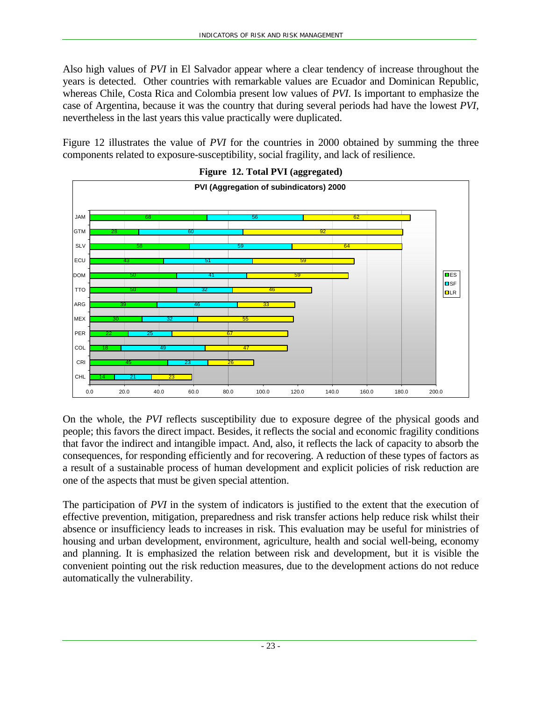Also high values of *PVI* in El Salvador appear where a clear tendency of increase throughout the years is detected. Other countries with remarkable values are Ecuador and Dominican Republic, whereas Chile, Costa Rica and Colombia present low values of *PVI*. Is important to emphasize the case of Argentina, because it was the country that during several periods had have the lowest *PVI*, nevertheless in the last years this value practically were duplicated.

Figure 12 illustrates the value of *PVI* for the countries in 2000 obtained by summing the three components related to exposure-susceptibility, social fragility, and lack of resilience.





On the whole, the *PVI* reflects susceptibility due to exposure degree of the physical goods and people; this favors the direct impact. Besides, it reflects the social and economic fragility conditions that favor the indirect and intangible impact. And, also, it reflects the lack of capacity to absorb the consequences, for responding efficiently and for recovering. A reduction of these types of factors as a result of a sustainable process of human development and explicit policies of risk reduction are one of the aspects that must be given special attention.

The participation of *PVI* in the system of indicators is justified to the extent that the execution of effective prevention, mitigation, preparedness and risk transfer actions help reduce risk whilst their absence or insufficiency leads to increases in risk. This evaluation may be useful for ministries of housing and urban development, environment, agriculture, health and social well-being, economy and planning. It is emphasized the relation between risk and development, but it is visible the convenient pointing out the risk reduction measures, due to the development actions do not reduce automatically the vulnerability.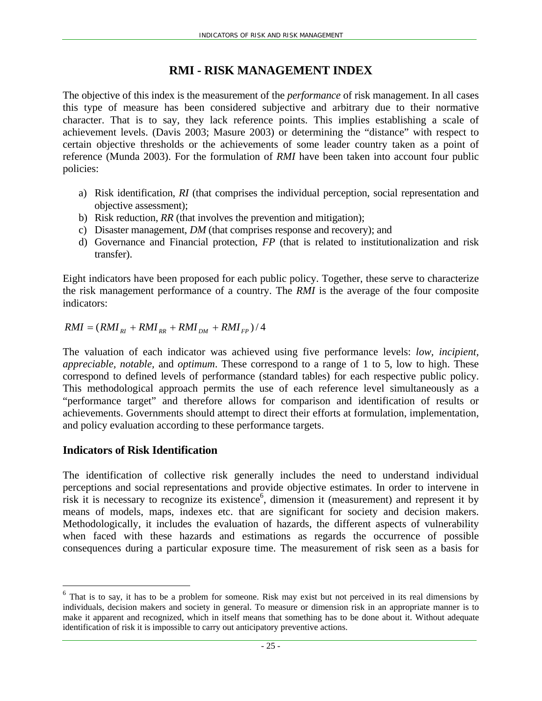## **RMI - RISK MANAGEMENT INDEX**

The objective of this index is the measurement of the *performance* of risk management. In all cases this type of measure has been considered subjective and arbitrary due to their normative character. That is to say, they lack reference points. This implies establishing a scale of achievement levels. (Davis 2003; Masure 2003) or determining the "distance" with respect to certain objective thresholds or the achievements of some leader country taken as a point of reference (Munda 2003). For the formulation of *RMI* have been taken into account four public policies:

- a) Risk identification, *RI* (that comprises the individual perception, social representation and objective assessment);
- b) Risk reduction, *RR* (that involves the prevention and mitigation);
- c) Disaster management, *DM* (that comprises response and recovery); and
- d) Governance and Financial protection, *FP* (that is related to institutionalization and risk transfer).

Eight indicators have been proposed for each public policy. Together, these serve to characterize the risk management performance of a country. The *RMI* is the average of the four composite indicators:

 $RMI = (RMI_{RI} + RMI_{RR} + RMI_{DM} + RMI_{FP})/4$ 

The valuation of each indicator was achieved using five performance levels: *low, incipient, appreciable, notable,* and *optimum*. These correspond to a range of 1 to 5, low to high. These correspond to defined levels of performance (standard tables) for each respective public policy. This methodological approach permits the use of each reference level simultaneously as a "performance target" and therefore allows for comparison and identification of results or achievements. Governments should attempt to direct their efforts at formulation, implementation, and policy evaluation according to these performance targets.

## **Indicators of Risk Identification**

 $\overline{a}$ 

The identification of collective risk generally includes the need to understand individual perceptions and social representations and provide objective estimates. In order to intervene in risk it is necessary to recognize its existence<sup>6</sup>, dimension it (measurement) and represent it by means of models, maps, indexes etc. that are significant for society and decision makers. Methodologically, it includes the evaluation of hazards, the different aspects of vulnerability when faced with these hazards and estimations as regards the occurrence of possible consequences during a particular exposure time. The measurement of risk seen as a basis for

 $6$  That is to say, it has to be a problem for someone. Risk may exist but not perceived in its real dimensions by individuals, decision makers and society in general. To measure or dimension risk in an appropriate manner is to make it apparent and recognized, which in itself means that something has to be done about it. Without adequate identification of risk it is impossible to carry out anticipatory preventive actions.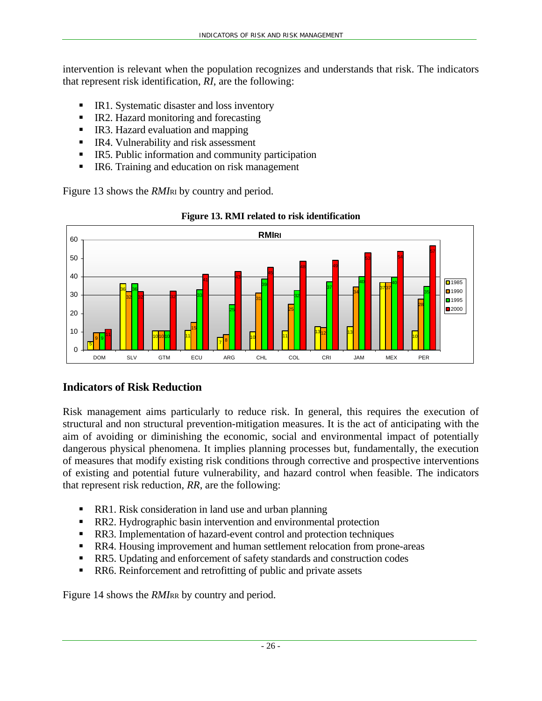intervention is relevant when the population recognizes and understands that risk. The indicators that represent risk identification, *RI*, are the following:

- IR1. Systematic disaster and loss inventory
- IR2. Hazard monitoring and forecasting
- IR3. Hazard evaluation and mapping
- IR4. Vulnerability and risk assessment
- IR5. Public information and community participation
- IR6. Training and education on risk management

Figure 13 shows the *RMI*<sub>RI</sub> by country and period.



**Figure 13. RMI related to risk identification**

## **Indicators of Risk Reduction**

Risk management aims particularly to reduce risk. In general, this requires the execution of structural and non structural prevention-mitigation measures. It is the act of anticipating with the aim of avoiding or diminishing the economic, social and environmental impact of potentially dangerous physical phenomena. It implies planning processes but, fundamentally, the execution of measures that modify existing risk conditions through corrective and prospective interventions of existing and potential future vulnerability, and hazard control when feasible. The indicators that represent risk reduction, *RR*, are the following:

- **RR1.** Risk consideration in land use and urban planning
- **RR2.** Hydrographic basin intervention and environmental protection
- **RR3.** Implementation of hazard-event control and protection techniques
- **RR4.** Housing improvement and human settlement relocation from prone-areas
- RR5. Updating and enforcement of safety standards and construction codes
- RR6. Reinforcement and retrofitting of public and private assets

Figure 14 shows the *RMIRR* by country and period.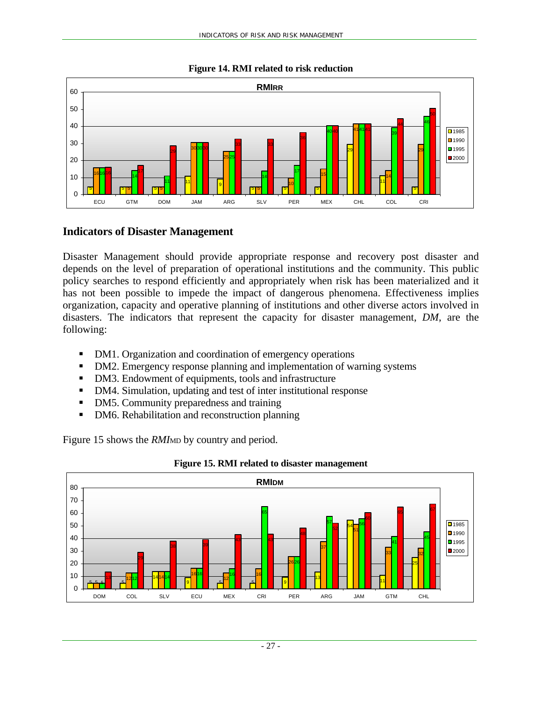

#### **Figure 14. RMI related to risk reduction**

## **Indicators of Disaster Management**

Disaster Management should provide appropriate response and recovery post disaster and depends on the level of preparation of operational institutions and the community. This public policy searches to respond efficiently and appropriately when risk has been materialized and it has not been possible to impede the impact of dangerous phenomena. Effectiveness implies organization, capacity and operative planning of institutions and other diverse actors involved in disasters. The indicators that represent the capacity for disaster management, *DM*, are the following:

- DM1. Organization and coordination of emergency operations
- DM2. Emergency response planning and implementation of warning systems
- DM3. Endowment of equipments, tools and infrastructure
- DM4. Simulation, updating and test of inter institutional response
- DM5. Community preparedness and training
- DM6. Rehabilitation and reconstruction planning

Figure 15 shows the *RMI*<sub>MD</sub> by country and period.



#### **Figure 15. RMI related to disaster management**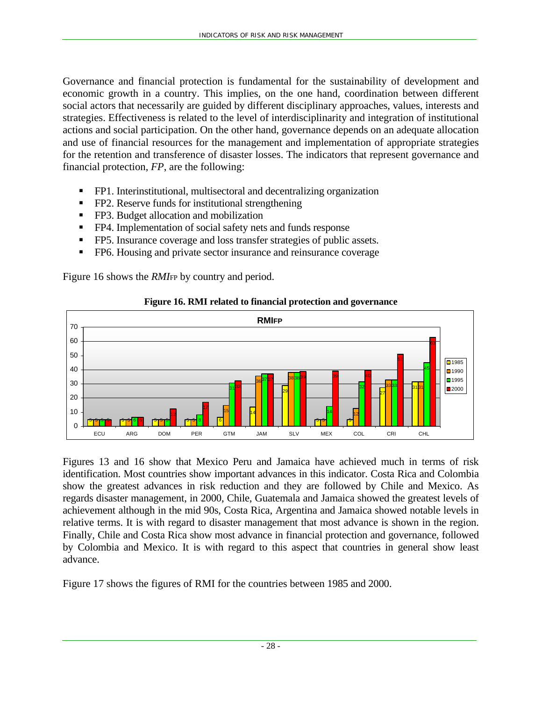Governance and financial protection is fundamental for the sustainability of development and economic growth in a country. This implies, on the one hand, coordination between different social actors that necessarily are guided by different disciplinary approaches, values, interests and strategies. Effectiveness is related to the level of interdisciplinarity and integration of institutional actions and social participation. On the other hand, governance depends on an adequate allocation and use of financial resources for the management and implementation of appropriate strategies for the retention and transference of disaster losses. The indicators that represent governance and financial protection, *FP*, are the following:

- FP1. Interinstitutional, multisectoral and decentralizing organization
- **FP2.** Reserve funds for institutional strengthening
- **FP3.** Budget allocation and mobilization
- **FP4.** Implementation of social safety nets and funds response
- FP5. Insurance coverage and loss transfer strategies of public assets.
- **FP6.** Housing and private sector insurance and reinsurance coverage

Figure 16 shows the *RMI*FP by country and period.



#### **Figure 16. RMI related to financial protection and governance**

Figures 13 and 16 show that Mexico Peru and Jamaica have achieved much in terms of risk identification. Most countries show important advances in this indicator. Costa Rica and Colombia show the greatest advances in risk reduction and they are followed by Chile and Mexico. As regards disaster management, in 2000, Chile, Guatemala and Jamaica showed the greatest levels of achievement although in the mid 90s, Costa Rica, Argentina and Jamaica showed notable levels in relative terms. It is with regard to disaster management that most advance is shown in the region. Finally, Chile and Costa Rica show most advance in financial protection and governance, followed by Colombia and Mexico. It is with regard to this aspect that countries in general show least advance.

Figure 17 shows the figures of RMI for the countries between 1985 and 2000.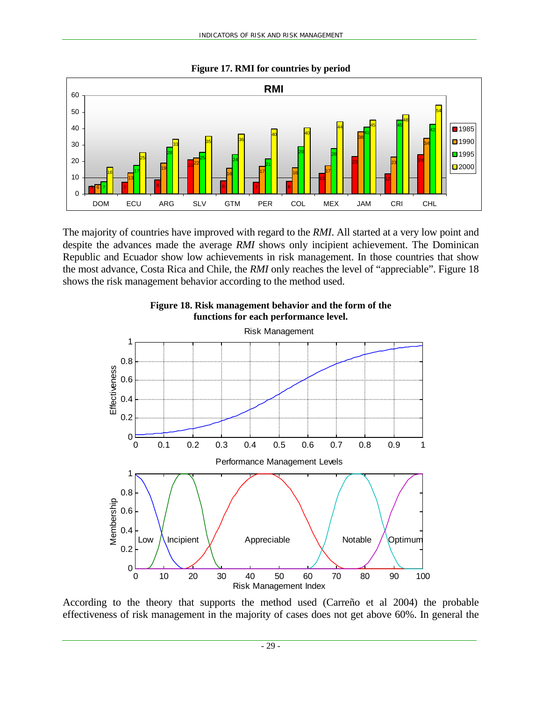

**Figure 17. RMI for countries by period** 

The majority of countries have improved with regard to the *RMI*. All started at a very low point and despite the advances made the average *RMI* shows only incipient achievement. The Dominican Republic and Ecuador show low achievements in risk management. In those countries that show the most advance, Costa Rica and Chile, the *RMI* only reaches the level of "appreciable". Figure 18 shows the risk management behavior according to the method used.



**Figure 18. Risk management behavior and the form of the functions for each performance level.** 

According to the theory that supports the method used (Carreño et al 2004) the probable effectiveness of risk management in the majority of cases does not get above 60%. In general the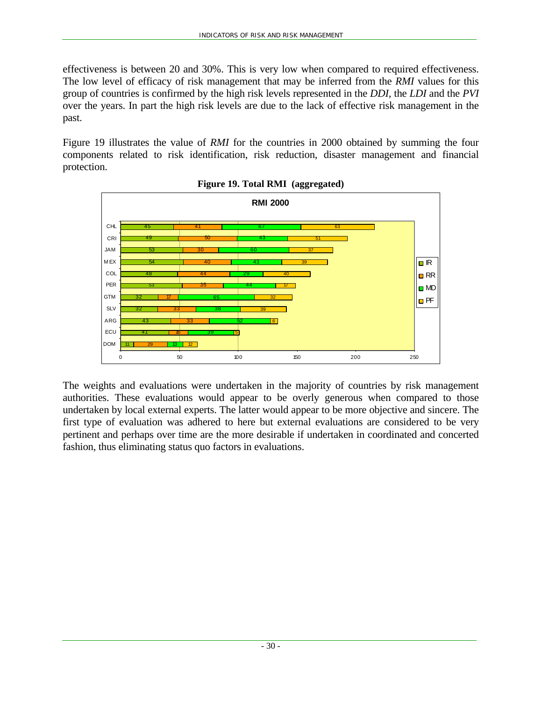effectiveness is between 20 and 30%. This is very low when compared to required effectiveness. The low level of efficacy of risk management that may be inferred from the *RMI* values for this group of countries is confirmed by the high risk levels represented in the *DDI,* the *LDI* and the *PVI* over the years. In part the high risk levels are due to the lack of effective risk management in the past.

Figure 19 illustrates the value of *RMI* for the countries in 2000 obtained by summing the four components related to risk identification, risk reduction, disaster management and financial protection.





The weights and evaluations were undertaken in the majority of countries by risk management authorities. These evaluations would appear to be overly generous when compared to those undertaken by local external experts. The latter would appear to be more objective and sincere. The first type of evaluation was adhered to here but external evaluations are considered to be very pertinent and perhaps over time are the more desirable if undertaken in coordinated and concerted fashion, thus eliminating status quo factors in evaluations.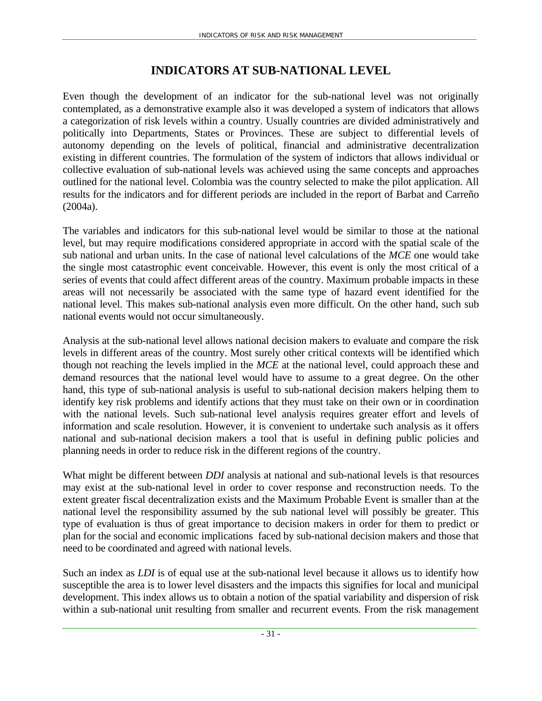## **INDICATORS AT SUB-NATIONAL LEVEL**

Even though the development of an indicator for the sub-national level was not originally contemplated, as a demonstrative example also it was developed a system of indicators that allows a categorization of risk levels within a country. Usually countries are divided administratively and politically into Departments, States or Provinces. These are subject to differential levels of autonomy depending on the levels of political, financial and administrative decentralization existing in different countries. The formulation of the system of indictors that allows individual or collective evaluation of sub-national levels was achieved using the same concepts and approaches outlined for the national level. Colombia was the country selected to make the pilot application. All results for the indicators and for different periods are included in the report of Barbat and Carreño (2004a).

The variables and indicators for this sub-national level would be similar to those at the national level, but may require modifications considered appropriate in accord with the spatial scale of the sub national and urban units. In the case of national level calculations of the *MCE* one would take the single most catastrophic event conceivable. However, this event is only the most critical of a series of events that could affect different areas of the country. Maximum probable impacts in these areas will not necessarily be associated with the same type of hazard event identified for the national level. This makes sub-national analysis even more difficult. On the other hand, such sub national events would not occur simultaneously.

Analysis at the sub-national level allows national decision makers to evaluate and compare the risk levels in different areas of the country. Most surely other critical contexts will be identified which though not reaching the levels implied in the *MCE* at the national level, could approach these and demand resources that the national level would have to assume to a great degree. On the other hand, this type of sub-national analysis is useful to sub-national decision makers helping them to identify key risk problems and identify actions that they must take on their own or in coordination with the national levels. Such sub-national level analysis requires greater effort and levels of information and scale resolution. However, it is convenient to undertake such analysis as it offers national and sub-national decision makers a tool that is useful in defining public policies and planning needs in order to reduce risk in the different regions of the country.

What might be different between *DDI* analysis at national and sub-national levels is that resources may exist at the sub-national level in order to cover response and reconstruction needs. To the extent greater fiscal decentralization exists and the Maximum Probable Event is smaller than at the national level the responsibility assumed by the sub national level will possibly be greater. This type of evaluation is thus of great importance to decision makers in order for them to predict or plan for the social and economic implications faced by sub-national decision makers and those that need to be coordinated and agreed with national levels.

Such an index as *LDI* is of equal use at the sub-national level because it allows us to identify how susceptible the area is to lower level disasters and the impacts this signifies for local and municipal development. This index allows us to obtain a notion of the spatial variability and dispersion of risk within a sub-national unit resulting from smaller and recurrent events. From the risk management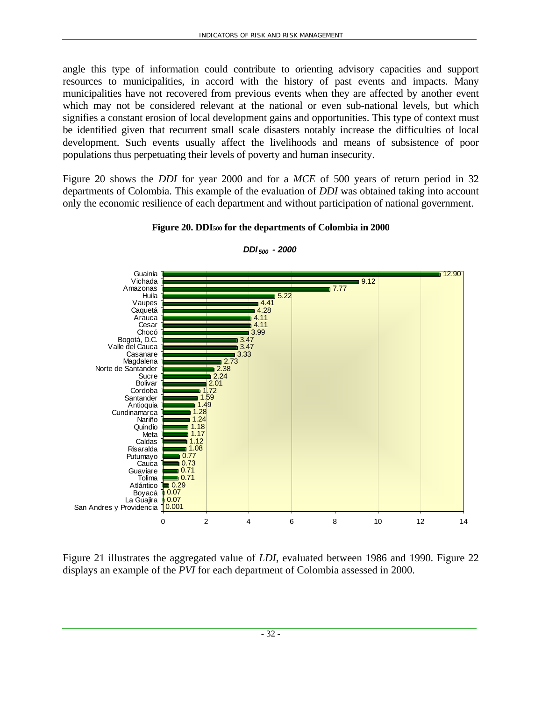angle this type of information could contribute to orienting advisory capacities and support resources to municipalities, in accord with the history of past events and impacts. Many municipalities have not recovered from previous events when they are affected by another event which may not be considered relevant at the national or even sub-national levels, but which signifies a constant erosion of local development gains and opportunities. This type of context must be identified given that recurrent small scale disasters notably increase the difficulties of local development. Such events usually affect the livelihoods and means of subsistence of poor populations thus perpetuating their levels of poverty and human insecurity.

Figure 20 shows the *DDI* for year 2000 and for a *MCE* of 500 years of return period in 32 departments of Colombia. This example of the evaluation of *DDI* was obtained taking into account only the economic resilience of each department and without participation of national government.



#### **Figure 20. DDI500 for the departments of Colombia in 2000**

*DDI 500 - 2000*

Figure 21 illustrates the aggregated value of *LDI*, evaluated between 1986 and 1990. Figure 22 displays an example of the *PVI* for each department of Colombia assessed in 2000.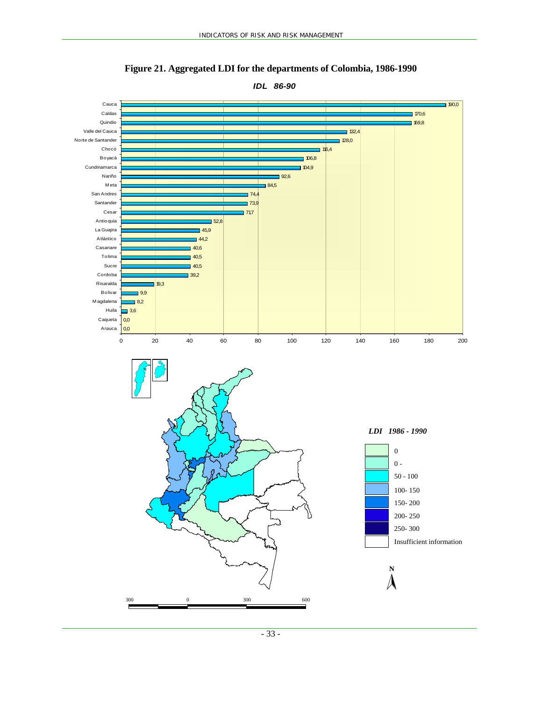

**Figure 21. Aggregated LDI for the departments of Colombia, 1986-1990**

*IDL 86-90*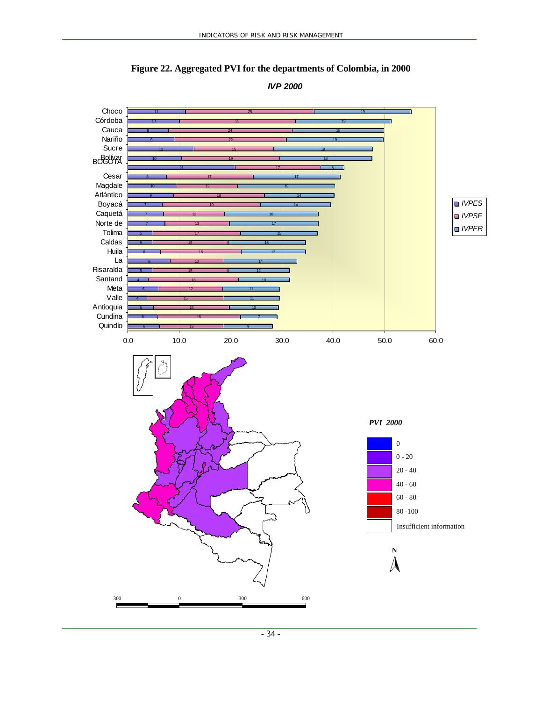

**Figure 22. Aggregated PVI for the departments of Colombia, in 2000**

*IVP 2000*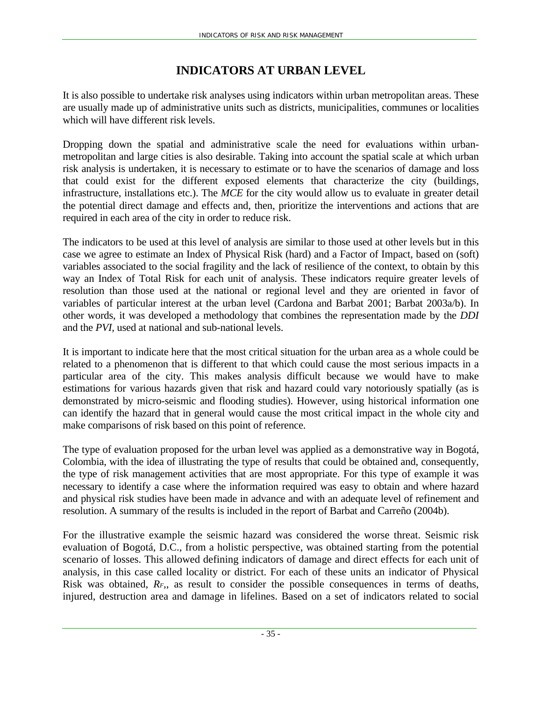## **INDICATORS AT URBAN LEVEL**

It is also possible to undertake risk analyses using indicators within urban metropolitan areas. These are usually made up of administrative units such as districts, municipalities, communes or localities which will have different risk levels.

Dropping down the spatial and administrative scale the need for evaluations within urbanmetropolitan and large cities is also desirable. Taking into account the spatial scale at which urban risk analysis is undertaken, it is necessary to estimate or to have the scenarios of damage and loss that could exist for the different exposed elements that characterize the city (buildings, infrastructure, installations etc.). The *MCE* for the city would allow us to evaluate in greater detail the potential direct damage and effects and, then, prioritize the interventions and actions that are required in each area of the city in order to reduce risk.

The indicators to be used at this level of analysis are similar to those used at other levels but in this case we agree to estimate an Index of Physical Risk (hard) and a Factor of Impact, based on (soft) variables associated to the social fragility and the lack of resilience of the context, to obtain by this way an Index of Total Risk for each unit of analysis. These indicators require greater levels of resolution than those used at the national or regional level and they are oriented in favor of variables of particular interest at the urban level (Cardona and Barbat 2001; Barbat 2003a/b). In other words, it was developed a methodology that combines the representation made by the *DDI* and the *PVI,* used at national and sub-national levels.

It is important to indicate here that the most critical situation for the urban area as a whole could be related to a phenomenon that is different to that which could cause the most serious impacts in a particular area of the city. This makes analysis difficult because we would have to make estimations for various hazards given that risk and hazard could vary notoriously spatially (as is demonstrated by micro-seismic and flooding studies). However, using historical information one can identify the hazard that in general would cause the most critical impact in the whole city and make comparisons of risk based on this point of reference.

The type of evaluation proposed for the urban level was applied as a demonstrative way in Bogotá, Colombia, with the idea of illustrating the type of results that could be obtained and, consequently, the type of risk management activities that are most appropriate. For this type of example it was necessary to identify a case where the information required was easy to obtain and where hazard and physical risk studies have been made in advance and with an adequate level of refinement and resolution. A summary of the results is included in the report of Barbat and Carreño (2004b).

For the illustrative example the seismic hazard was considered the worse threat. Seismic risk evaluation of Bogotá, D.C., from a holistic perspective, was obtained starting from the potential scenario of losses. This allowed defining indicators of damage and direct effects for each unit of analysis, in this case called locality or district. For each of these units an indicator of Physical Risk was obtained, *RF,*, as result to consider the possible consequences in terms of deaths, injured, destruction area and damage in lifelines. Based on a set of indicators related to social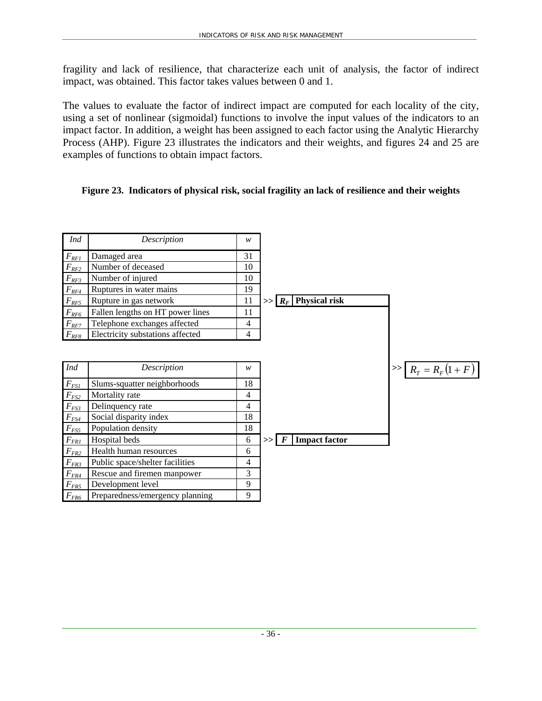fragility and lack of resilience, that characterize each unit of analysis, the factor of indirect impact, was obtained. This factor takes values between 0 and 1.

The values to evaluate the factor of indirect impact are computed for each locality of the city, using a set of nonlinear (sigmoidal) functions to involve the input values of the indicators to an impact factor. In addition, a weight has been assigned to each factor using the Analytic Hierarchy Process (AHP). Figure 23 illustrates the indicators and their weights, and figures 24 and 25 are examples of functions to obtain impact factors.

#### **Figure 23. Indicators of physical risk, social fragility an lack of resilience and their weights**

| Ind                   | Description                      | w  |                                        |                         |
|-----------------------|----------------------------------|----|----------------------------------------|-------------------------|
| $F_{RFI}$             | Damaged area                     | 31 |                                        |                         |
| $F_{RF2}$             | Number of deceased               | 10 |                                        |                         |
| $F_{\textit{RF3}}$    | Number of injured                | 10 |                                        |                         |
| $F_{\textit{RF4}}$    | Ruptures in water mains          | 19 |                                        |                         |
| $F_{RF5}$             | Rupture in gas network           | 11 | $>>$ $R_F$ Physical risk               |                         |
| $F_{RF6}$             | Fallen lengths on HT power lines | 11 |                                        |                         |
| $F_{RF7}$             | Telephone exchanges affected     | 4  |                                        |                         |
| $F_{RF8}$             | Electricity substations affected | 4  |                                        |                         |
| <b>Ind</b>            | Description                      | w  |                                        | $>>$ $R_T = R_F(1 + F)$ |
| $F_{FSI}$             | Slums-squatter neighborhoods     | 18 |                                        |                         |
| $F_{\underline{FS2}}$ | Mortality rate                   | 4  |                                        |                         |
| $F_{\underline{FS3}}$ | Delinquency rate                 | 4  |                                        |                         |
| $F_{\underline{FS4}}$ | Social disparity index           | 18 |                                        |                         |
| $F_{FS5}$             | Population density               | 18 |                                        |                         |
| $F_{\it FRI}$         | Hospital beds                    | 6  | <b>Impact factor</b><br>$\bm{F}$<br>>> |                         |
| $F_{\textit{FR2}}$    | Health human resources           | 6  |                                        |                         |
| $F_{FR3}$             | Public space/shelter facilities  | 4  |                                        |                         |
| $F_{\underline{FR4}}$ | Rescue and firemen manpower      | 3  |                                        |                         |
| $F_{FR5}$             | Development level                | 9  |                                        |                         |
| $F_{FR6}$             | Preparedness/emergency planning  | 9  |                                        |                         |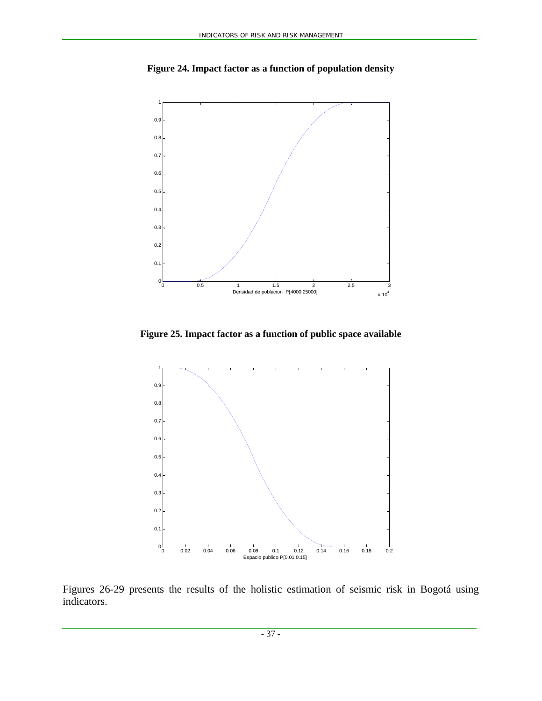

**Figure 24. Impact factor as a function of population density** 

**Figure 25. Impact factor as a function of public space available** 



Figures 26-29 presents the results of the holistic estimation of seismic risk in Bogotá using indicators.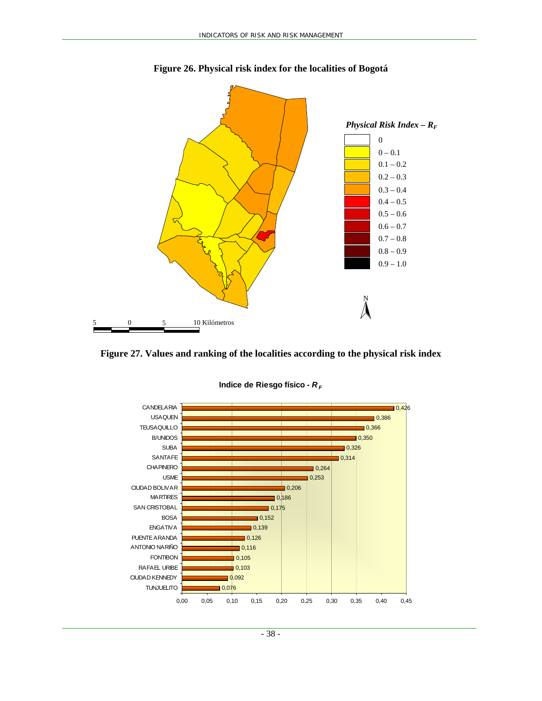

**Figure 26. Physical risk index for the localities of Bogotá** 





**Indice de Riesgo físico -**  $R_F$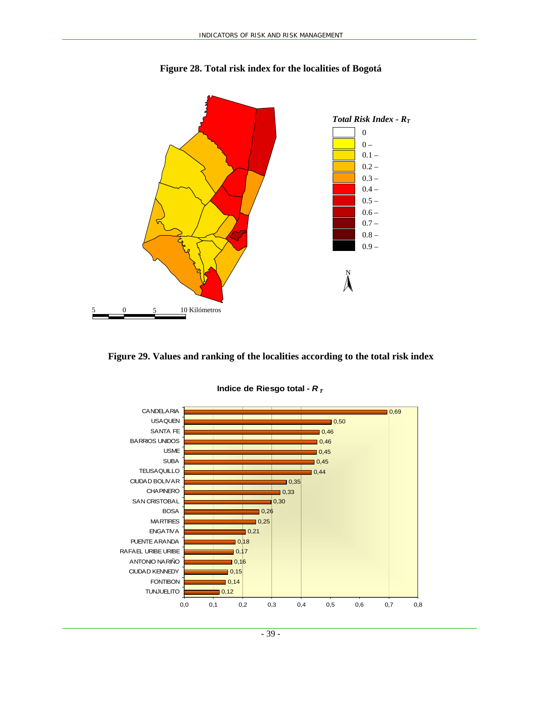

**Figure 28. Total risk index for the localities of Bogotá** 

**Figure 29. Values and ranking of the localities according to the total risk index** 



**Indice de Riesgo total -**  $R<sub>T</sub>$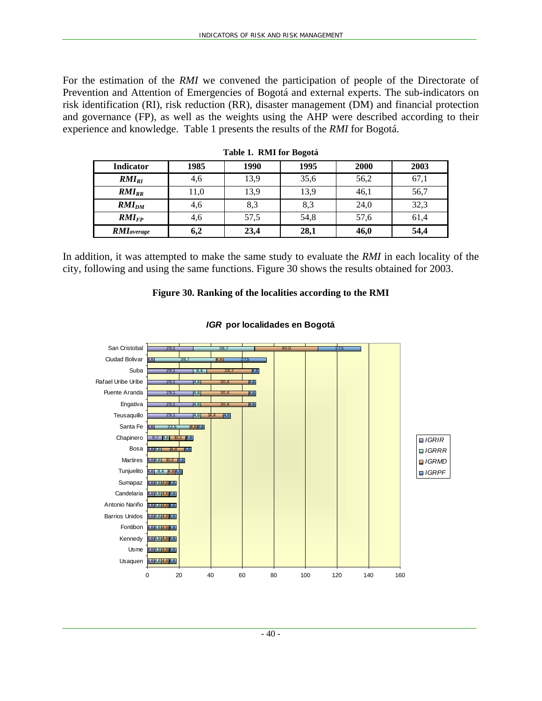For the estimation of the *RMI* we convened the participation of people of the Directorate of Prevention and Attention of Emergencies of Bogotá and external experts. The sub-indicators on risk identification (RI), risk reduction (RR), disaster management (DM) and financial protection and governance (FP), as well as the weights using the AHP were described according to their experience and knowledge. Table 1 presents the results of the *RMI* for Bogotá.

| <b>Indicator</b>   | 1985 | 1990 | 1995 | 2000 | 2003 |
|--------------------|------|------|------|------|------|
| $RMI_{RI}$         | 4,6  | 13,9 | 35,6 | 56,2 | 67,1 |
| $RMI_{RR}$         | 11,0 | 13,9 | 13,9 | 46,1 | 56,7 |
| $RMI_{DM}$         | 4,6  | 8,3  | 8,3  | 24,0 | 32,3 |
| $RMI_{FP}$         | 4,6  | 57,5 | 54,8 | 57,6 | 61,4 |
| <b>RMI</b> average | 6,2  | 23,4 | 28,1 | 46,0 | 54,4 |

**Table 1. RMI for Bogotá** 

In addition, it was attempted to make the same study to evaluate the *RMI* in each locality of the city, following and using the same functions. Figure 30 shows the results obtained for 2003.

#### **Figure 30. Ranking of the localities according to the RMI**



#### *IGR* **por localidades en Bogotá**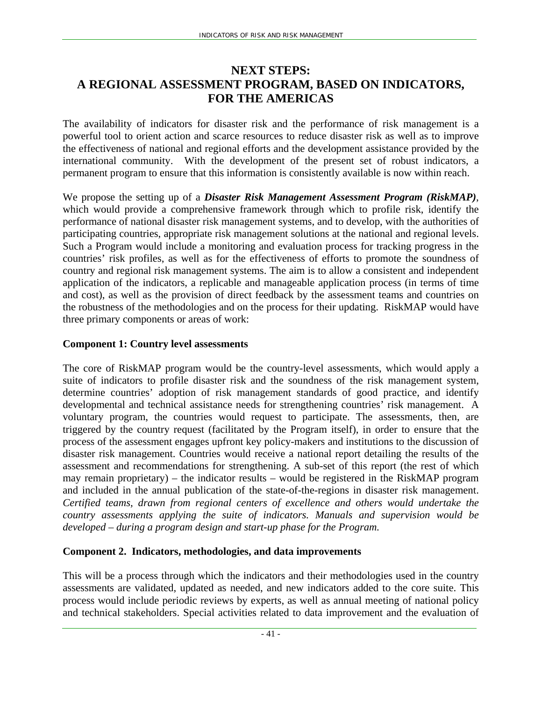## **NEXT STEPS: A REGIONAL ASSESSMENT PROGRAM, BASED ON INDICATORS, FOR THE AMERICAS**

The availability of indicators for disaster risk and the performance of risk management is a powerful tool to orient action and scarce resources to reduce disaster risk as well as to improve the effectiveness of national and regional efforts and the development assistance provided by the international community. With the development of the present set of robust indicators, a permanent program to ensure that this information is consistently available is now within reach.

We propose the setting up of a *Disaster Risk Management Assessment Program (RiskMAP)*, which would provide a comprehensive framework through which to profile risk, identify the performance of national disaster risk management systems, and to develop, with the authorities of participating countries, appropriate risk management solutions at the national and regional levels. Such a Program would include a monitoring and evaluation process for tracking progress in the countries' risk profiles, as well as for the effectiveness of efforts to promote the soundness of country and regional risk management systems. The aim is to allow a consistent and independent application of the indicators, a replicable and manageable application process (in terms of time and cost), as well as the provision of direct feedback by the assessment teams and countries on the robustness of the methodologies and on the process for their updating. RiskMAP would have three primary components or areas of work:

#### **Component 1: Country level assessments**

The core of RiskMAP program would be the country-level assessments, which would apply a suite of indicators to profile disaster risk and the soundness of the risk management system, determine countries' adoption of risk management standards of good practice, and identify developmental and technical assistance needs for strengthening countries' risk management. A voluntary program, the countries would request to participate. The assessments, then, are triggered by the country request (facilitated by the Program itself), in order to ensure that the process of the assessment engages upfront key policy-makers and institutions to the discussion of disaster risk management. Countries would receive a national report detailing the results of the assessment and recommendations for strengthening. A sub-set of this report (the rest of which may remain proprietary) – the indicator results – would be registered in the RiskMAP program and included in the annual publication of the state-of-the-regions in disaster risk management. *Certified teams, drawn from regional centers of excellence and others would undertake the country assessments applying the suite of indicators. Manuals and supervision would be developed – during a program design and start-up phase for the Program.* 

## **Component 2. Indicators, methodologies, and data improvements**

This will be a process through which the indicators and their methodologies used in the country assessments are validated, updated as needed, and new indicators added to the core suite. This process would include periodic reviews by experts, as well as annual meeting of national policy and technical stakeholders. Special activities related to data improvement and the evaluation of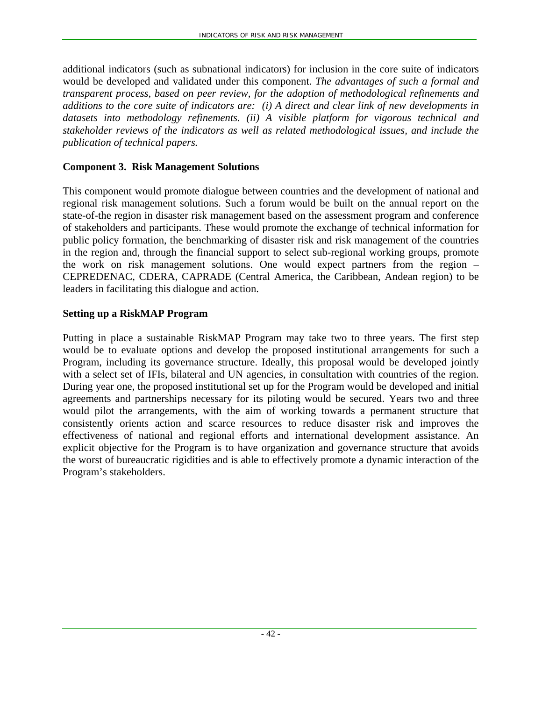additional indicators (such as subnational indicators) for inclusion in the core suite of indicators would be developed and validated under this component. *The advantages of such a formal and transparent process, based on peer review, for the adoption of methodological refinements and additions to the core suite of indicators are: (i) A direct and clear link of new developments in datasets into methodology refinements. (ii) A visible platform for vigorous technical and stakeholder reviews of the indicators as well as related methodological issues, and include the publication of technical papers.* 

#### **Component 3. Risk Management Solutions**

This component would promote dialogue between countries and the development of national and regional risk management solutions. Such a forum would be built on the annual report on the state-of-the region in disaster risk management based on the assessment program and conference of stakeholders and participants. These would promote the exchange of technical information for public policy formation, the benchmarking of disaster risk and risk management of the countries in the region and, through the financial support to select sub-regional working groups, promote the work on risk management solutions. One would expect partners from the region – CEPREDENAC, CDERA, CAPRADE (Central America, the Caribbean, Andean region) to be leaders in facilitating this dialogue and action.

#### **Setting up a RiskMAP Program**

Putting in place a sustainable RiskMAP Program may take two to three years. The first step would be to evaluate options and develop the proposed institutional arrangements for such a Program, including its governance structure. Ideally, this proposal would be developed jointly with a select set of IFIs, bilateral and UN agencies, in consultation with countries of the region. During year one, the proposed institutional set up for the Program would be developed and initial agreements and partnerships necessary for its piloting would be secured. Years two and three would pilot the arrangements, with the aim of working towards a permanent structure that consistently orients action and scarce resources to reduce disaster risk and improves the effectiveness of national and regional efforts and international development assistance. An explicit objective for the Program is to have organization and governance structure that avoids the worst of bureaucratic rigidities and is able to effectively promote a dynamic interaction of the Program's stakeholders.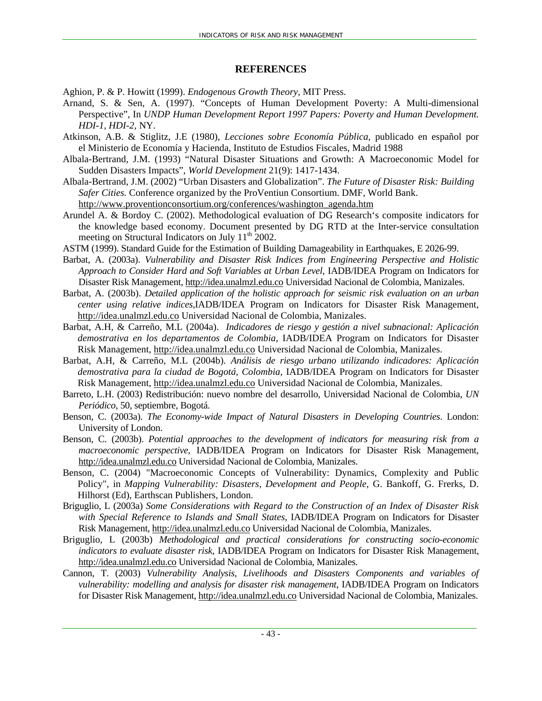#### **REFERENCES**

Aghion, P. & P. Howitt (1999). *Endogenous Growth Theory*, MIT Press.

- Arnand, S. & Sen, A. (1997). "Concepts of Human Development Poverty: A Multi-dimensional Perspective", In *UNDP Human Development Report 1997 Papers: Poverty and Human Development. HDI-1, HDI-2,* NY.
- Atkinson, A.B. & Stiglitz, J.E (1980), *Lecciones sobre Economía Pública,* publicado en español por el Ministerio de Economía y Hacienda, Instituto de Estudios Fiscales, Madrid 1988
- Albala-Bertrand, J.M. (1993) "Natural Disaster Situations and Growth: A Macroeconomic Model for Sudden Disasters Impacts", *World Development* 21(9): 1417-1434.
- Albala-Bertrand, J.M. (2002) "Urban Disasters and Globalization". *The Future of Disaster Risk: Building Safer Cities.* Conference organized by the ProVentiun Consortium. DMF, World Bank. http://www.proventionconsortium.org/conferences/washington\_agenda.htm
- Arundel A. & Bordoy C. (2002). Methodological evaluation of DG Research's composite indicators for the knowledge based economy. Document presented by DG RTD at the Inter-service consultation meeting on Structural Indicators on July 11<sup>th</sup> 2002.
- ASTM (1999). Standard Guide for the Estimation of Building Damageability in Earthquakes, E 2026-99.
- Barbat, A. (2003a). *Vulnerability and Disaster Risk Indices from Engineering Perspective and Holistic Approach to Consider Hard and Soft Variables at Urban Level*, IADB/IDEA Program on Indicators for Disaster Risk Management, http://idea.unalmzl.edu.co Universidad Nacional de Colombia, Manizales.
- Barbat, A. (2003b). *Detailed application of the holistic approach for seismic risk evaluation on an urban center using relative indices,*IADB/IDEA Program on Indicators for Disaster Risk Management, http://idea.unalmzl.edu.co Universidad Nacional de Colombia, Manizales.
- Barbat, A.H, & Carreño, M.L (2004a). *Indicadores de riesgo y gestión a nivel subnacional: Aplicación demostrativa en los departamentos de Colombia*, IADB/IDEA Program on Indicators for Disaster Risk Management, http://idea.unalmzl.edu.co Universidad Nacional de Colombia, Manizales.
- Barbat, A.H, & Carreño, M.L (2004b). *Análisis de riesgo urbano utilizando indicadores: Aplicación demostrativa para la ciudad de Bogotá, Colombia*, IADB/IDEA Program on Indicators for Disaster Risk Management, http://idea.unalmzl.edu.co Universidad Nacional de Colombia, Manizales.
- Barreto, L.H. (2003) Redistribución: nuevo nombre del desarrollo, Universidad Nacional de Colombia, *UN Periódico*, 50, septiembre, Bogotá.
- Benson, C. (2003a). *The Economy-wide Impact of Natural Disasters in Developing Countries*. London: University of London.
- Benson, C. (2003b). *Potential approaches to the development of indicators for measuring risk from a macroeconomic perspective,* IADB/IDEA Program on Indicators for Disaster Risk Management, http://idea.unalmzl.edu.co Universidad Nacional de Colombia, Manizales.
- Benson, C. (2004) "Macroeconomic Concepts of Vulnerability: Dynamics, Complexity and Public Policy", in *Mapping Vulnerability: Disasters, Development and People*, G. Bankoff, G. Frerks, D. Hilhorst (Ed), Earthscan Publishers, London.
- Briguglio, L (2003a) *Some Considerations with Regard to the Construction of an Index of Disaster Risk with Special Reference to Islands and Small States*, IADB/IDEA Program on Indicators for Disaster Risk Management, http://idea.unalmzl.edu.co Universidad Nacional de Colombia, Manizales.
- Briguglio, L (2003b) *Methodological and practical considerations for constructing socio-economic indicators to evaluate disaster risk,* IADB/IDEA Program on Indicators for Disaster Risk Management, http://idea.unalmzl.edu.co Universidad Nacional de Colombia, Manizales.
- Cannon, T. (2003) *Vulnerability Analysis, Livelihoods and Disasters Components and variables of vulnerability: modelling and analysis for disaster risk management*, IADB/IDEA Program on Indicators for Disaster Risk Management, http://idea.unalmzl.edu.co Universidad Nacional de Colombia, Manizales.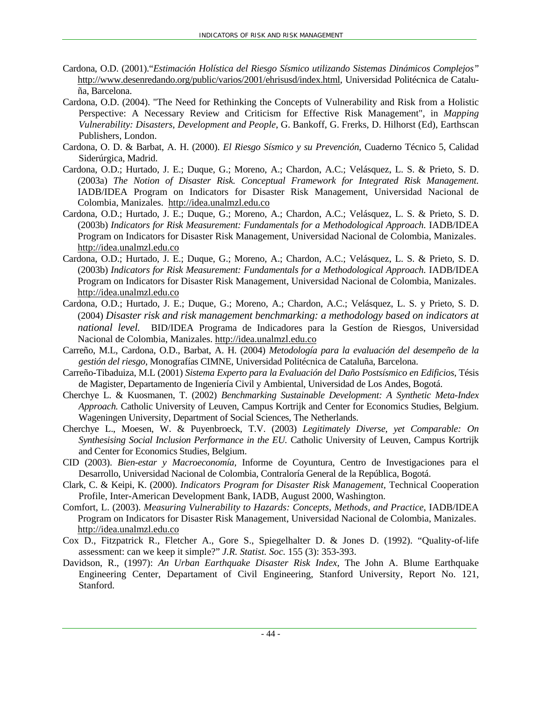- Cardona, O.D. (2001)."*Estimación Holística del Riesgo Sísmico utilizando Sistemas Dinámicos Complejos"*  http://www.desenredando.org/public/varios/2001/ehrisusd/index.html, Universidad Politécnica de Cataluña, Barcelona.
- Cardona, O.D. (2004). "The Need for Rethinking the Concepts of Vulnerability and Risk from a Holistic Perspective: A Necessary Review and Criticism for Effective Risk Management", in *Mapping Vulnerability: Disasters, Development and People*, G. Bankoff, G. Frerks, D. Hilhorst (Ed), Earthscan Publishers, London.
- Cardona, O. D. & Barbat, A. H. (2000). *El Riesgo Sísmico y su Prevención*, Cuaderno Técnico 5, Calidad Siderúrgica, Madrid.
- Cardona, O.D.; Hurtado, J. E.; Duque, G.; Moreno, A.; Chardon, A.C.; Velásquez, L. S. & Prieto, S. D. (2003a) *The Notion of Disaster Risk. Conceptual Framework for Integrated Risk Management.*  IADB/IDEA Program on Indicators for Disaster Risk Management, Universidad Nacional de Colombia, Manizales. http://idea.unalmzl.edu.co
- Cardona, O.D.; Hurtado, J. E.; Duque, G.; Moreno, A.; Chardon, A.C.; Velásquez, L. S. & Prieto, S. D. (2003b) *Indicators for Risk Measurement: Fundamentals for a Methodological Approach.* IADB/IDEA Program on Indicators for Disaster Risk Management, Universidad Nacional de Colombia, Manizales. http://idea.unalmzl.edu.co
- Cardona, O.D.; Hurtado, J. E.; Duque, G.; Moreno, A.; Chardon, A.C.; Velásquez, L. S. & Prieto, S. D. (2003b) *Indicators for Risk Measurement: Fundamentals for a Methodological Approach.* IADB/IDEA Program on Indicators for Disaster Risk Management, Universidad Nacional de Colombia, Manizales. http://idea.unalmzl.edu.co
- Cardona, O.D.; Hurtado, J. E.; Duque, G.; Moreno, A.; Chardon, A.C.; Velásquez, L. S. y Prieto, S. D. (2004) *Disaster risk and risk management benchmarking: a methodology based on indicators at national level.* BID/IDEA Programa de Indicadores para la Gestíon de Riesgos, Universidad Nacional de Colombia, Manizales. http://idea.unalmzl.edu.co
- Carreño, M.L, Cardona, O.D., Barbat, A. H. (2004) *Metodología para la evaluación del desempeño de la gestión del riesgo*, Monografías CIMNE, Universidad Politécnica de Cataluña, Barcelona.
- Carreño-Tibaduiza, M.L (2001) *Sistema Experto para la Evaluación del Daño Postsísmico en Edificios*, Tésis de Magister, Departamento de Ingeniería Civil y Ambiental, Universidad de Los Andes, Bogotá.
- Cherchye L. & Kuosmanen, T. (2002) *Benchmarking Sustainable Development: A Synthetic Meta-Index Approach.* Catholic University of Leuven, Campus Kortrijk and Center for Economics Studies, Belgium. Wageningen University, Department of Social Sciences, The Netherlands.
- Cherchye L., Moesen, W. & Puyenbroeck, T.V. (2003) *Legitimately Diverse, yet Comparable: On Synthesising Social Inclusion Performance in the EU.* Catholic University of Leuven, Campus Kortrijk and Center for Economics Studies, Belgium.
- CID (2003). *Bien-estar y Macroeconomía,* Informe de Coyuntura, Centro de Investigaciones para el Desarrollo, Universidad Nacional de Colombia, Contraloría General de la República, Bogotá.
- Clark, C. & Keipi, K. (2000). *Indicators Program for Disaster Risk Management,* Technical Cooperation Profile, Inter-American Development Bank, IADB, August 2000, Washington.
- Comfort, L. (2003). *Measuring Vulnerability to Hazards: Concepts, Methods, and Practice*, IADB/IDEA Program on Indicators for Disaster Risk Management, Universidad Nacional de Colombia, Manizales. http://idea.unalmzl.edu.co
- Cox D., Fitzpatrick R., Fletcher A., Gore S., Spiegelhalter D. & Jones D. (1992). "Quality-of-life assessment: can we keep it simple?" *J.R. Statist. Soc.* 155 (3): 353-393.
- Davidson, R., (1997): *An Urban Earthquake Disaster Risk Index*, The John A. Blume Earthquake Engineering Center, Departament of Civil Engineering, Stanford University, Report No. 121, Stanford.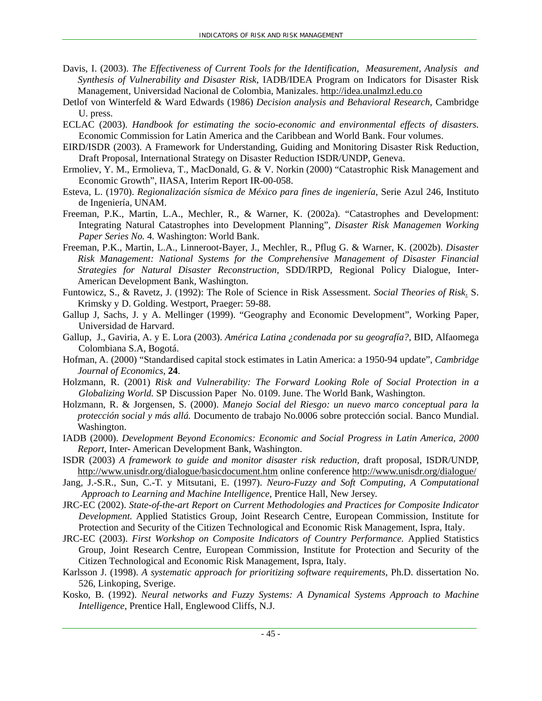- Davis, I. (2003). *The Effectiveness of Current Tools for the Identification, Measurement, Analysis and Synthesis of Vulnerability and Disaster Risk*, IADB/IDEA Program on Indicators for Disaster Risk Management, Universidad Nacional de Colombia, Manizales. http://idea.unalmzl.edu.co
- Detlof von Winterfeld & Ward Edwards (1986) *Decision analysis and Behavioral Research*, Cambridge U. press.
- ECLAC (2003). *Handbook for estimating the socio-economic and environmental effects of disasters.*  Economic Commission for Latin America and the Caribbean and World Bank. Four volumes.
- EIRD/ISDR (2003). A Framework for Understanding, Guiding and Monitoring Disaster Risk Reduction, Draft Proposal, International Strategy on Disaster Reduction ISDR/UNDP, Geneva.
- Ermoliev, Y. M., Ermolieva, T., MacDonald, G. & V. Norkin (2000) "Catastrophic Risk Management and Economic Growth", IIASA, Interim Report IR-00-058.
- Esteva, L. (1970). *Regionalización sísmica de México para fines de ingeniería*, Serie Azul 246, Instituto de Ingeniería, UNAM.
- Freeman, P.K., Martin, L.A., Mechler, R., & Warner, K. (2002a). "Catastrophes and Development: Integrating Natural Catastrophes into Development Planning", *Disaster Risk Managemen Working Paper Series No.* 4*.* Washington: World Bank.
- Freeman, P.K., Martin, L.A., Linneroot-Bayer, J., Mechler, R., Pflug G. & Warner, K. (2002b). *Disaster Risk Management: National Systems for the Comprehensive Management of Disaster Financial Strategies for Natural Disaster Reconstruction,* SDD/IRPD, Regional Policy Dialogue, Inter-American Development Bank, Washington.
- Funtowicz, S., & Ravetz, J. (1992): The Role of Science in Risk Assessment. *Social Theories of Risk*. S. Krimsky y D. Golding. Westport, Praeger: 59-88.
- Gallup J, Sachs, J. y A. Mellinger (1999). "Geography and Economic Development", Working Paper, Universidad de Harvard.
- Gallup, J., Gaviria, A. y E. Lora (2003). *América Latina ¿condenada por su geografía?*, BID, Alfaomega Colombiana S.A, Bogotá.
- Hofman, A. (2000) "Standardised capital stock estimates in Latin America: a 1950-94 update", *Cambridge Journal of Economics*, **24**.
- Holzmann, R. (2001) *Risk and Vulnerability: The Forward Looking Role of Social Protection in a Globalizing World.* SP Discussion Paper No. 0109. June. The World Bank, Washington.
- Holzmann, R. & Jorgensen, S. (2000). *Manejo Social del Riesgo: un nuevo marco conceptual para la protección social y más allá.* Documento de trabajo No.0006 sobre protección social. Banco Mundial. Washington.
- IADB (2000). *Development Beyond Economics: Economic and Social Progress in Latin America, 2000 Report*, Inter- American Development Bank, Washington.
- ISDR (2003) *A framework to guide and monitor disaster risk reduction,* draft proposal, ISDR/UNDP, http://www.unisdr.org/dialogue/basicdocument.htm online conference http://www.unisdr.org/dialogue/
- Jang, J.-S.R., Sun, C.-T. y Mitsutani, E. (1997). *Neuro-Fuzzy and Soft Computing, A Computational Approach to Learning and Machine Intelligence*, Prentice Hall, New Jersey.
- JRC-EC (2002). *State-of-the-art Report on Current Methodologies and Practices for Composite Indicator Development.* Applied Statistics Group, Joint Research Centre, European Commission, Institute for Protection and Security of the Citizen Technological and Economic Risk Management, Ispra, Italy.
- JRC-EC (2003). *First Workshop on Composite Indicators of Country Performance.* Applied Statistics Group, Joint Research Centre, European Commission, Institute for Protection and Security of the Citizen Technological and Economic Risk Management, Ispra, Italy.
- Karlsson J. (1998). *A systematic approach for prioritizing software requirements*, Ph.D. dissertation No. 526, Linkoping, Sverige.
- Kosko, B. (1992). *Neural networks and Fuzzy Systems: A Dynamical Systems Approach to Machine Intelligence*, Prentice Hall, Englewood Cliffs, N.J.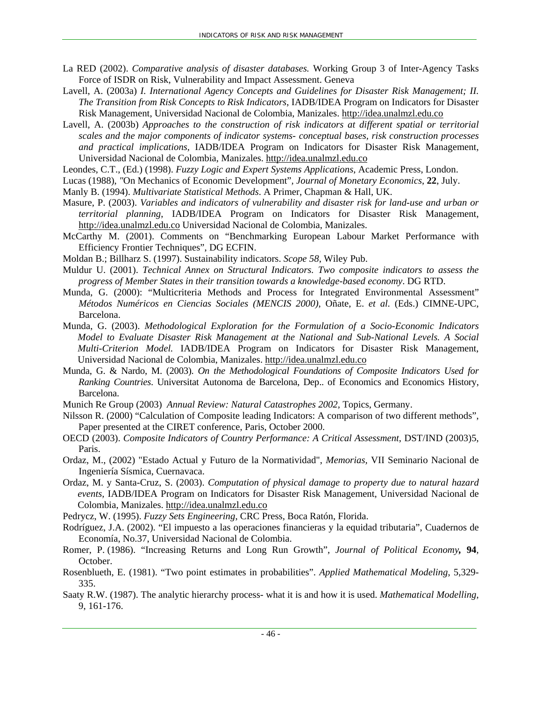- La RED (2002). *Comparative analysis of disaster databases.* Working Group 3 of Inter-Agency Tasks Force of ISDR on Risk, Vulnerability and Impact Assessment. Geneva
- Lavell, A. (2003a) *I. International Agency Concepts and Guidelines for Disaster Risk Management; II. The Transition from Risk Concepts to Risk Indicators*, IADB/IDEA Program on Indicators for Disaster Risk Management, Universidad Nacional de Colombia, Manizales. http://idea.unalmzl.edu.co
- Lavell, A. (2003b) *Approaches to the construction of risk indicators at different spatial or territorial scales and the major components of indicator systems- conceptual bases, risk construction processes and practical implications,* IADB/IDEA Program on Indicators for Disaster Risk Management, Universidad Nacional de Colombia, Manizales. http://idea.unalmzl.edu.co
- Leondes, C.T., (Ed.) (1998). *Fuzzy Logic and Expert Systems Applications*, Academic Press, London.
- Lucas (1988), *"*On Mechanics of Economic Development"*, Journal of Monetary Economics*, **22**, July.
- Manly B. (1994). *Multivariate Statistical Methods*. A Primer, Chapman & Hall, UK.
- Masure, P. (2003). *Variables and indicators of vulnerability and disaster risk for land-use and urban or territorial planning*, IADB/IDEA Program on Indicators for Disaster Risk Management, http://idea.unalmzl.edu.co Universidad Nacional de Colombia, Manizales.
- McCarthy M. (2001). Comments on "Benchmarking European Labour Market Performance with Efficiency Frontier Techniques", DG ECFIN.
- Moldan B.; Billharz S. (1997). Sustainability indicators. *Scope 58*, Wiley Pub.
- Muldur U. (2001). *Technical Annex on Structural Indicators. Two composite indicators to assess the progress of Member States in their transition towards a knowledge-based economy*. DG RTD.
- Munda, G. (2000): "Multicriteria Methods and Process for Integrated Environmental Assessment" *Métodos Numéricos en Ciencias Sociales (MENCIS 2000)*, Oñate, E. *et al.* (Eds.) CIMNE-UPC, Barcelona.
- Munda, G. (2003). *Methodological Exploration for the Formulation of a Socio-Economic Indicators Model to Evaluate Disaster Risk Management at the National and Sub-National Levels. A Social Multi-Criterion Model.* IADB/IDEA Program on Indicators for Disaster Risk Management, Universidad Nacional de Colombia, Manizales. http://idea.unalmzl.edu.co
- Munda, G. & Nardo, M. (2003). *On the Methodological Foundations of Composite Indicators Used for Ranking Countries*. Universitat Autonoma de Barcelona, Dep.. of Economics and Economics History, Barcelona.

Munich Re Group (2003) *Annual Review: Natural Catastrophes 2002,* Topics, Germany.

- Nilsson R. (2000) "Calculation of Composite leading Indicators: A comparison of two different methods", Paper presented at the CIRET conference, Paris, October 2000.
- OECD (2003). *Composite Indicators of Country Performance: A Critical Assessment*, DST/IND (2003)5, Paris.
- Ordaz, M., (2002) "Estado Actual y Futuro de la Normatividad", *Memorias,* VII Seminario Nacional de Ingeniería Sísmica, Cuernavaca.
- Ordaz, M. y Santa-Cruz, S. (2003). *Computation of physical damage to property due to natural hazard events,* IADB/IDEA Program on Indicators for Disaster Risk Management, Universidad Nacional de Colombia, Manizales. http://idea.unalmzl.edu.co
- Pedrycz, W. (1995). *Fuzzy Sets Engineering*, CRC Press, Boca Ratón, Florida.
- Rodríguez, J.A. (2002). "El impuesto a las operaciones financieras y la equidad tributaria", Cuadernos de Economía, No.37, Universidad Nacional de Colombia.
- Romer, P. (1986). "Increasing Returns and Long Run Growth", *Journal of Political Economy,* **94**, October.
- Rosenblueth, E. (1981). "Two point estimates in probabilities". *Applied Mathematical Modeling*, 5,329- 335.
- Saaty R.W. (1987). The analytic hierarchy process- what it is and how it is used. *Mathematical Modelling*, 9, 161-176.